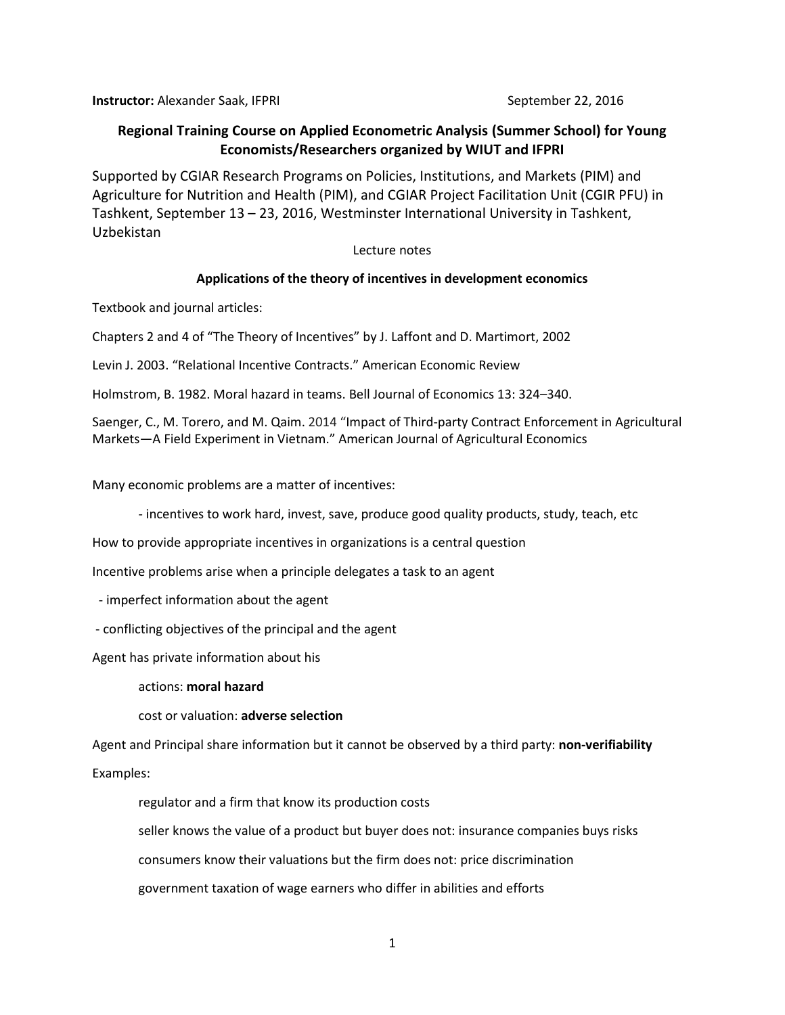**Instructor:** Alexander Saak, IFPRI September 22, 2016

# **Regional Training Course on Applied Econometric Analysis (Summer School) for Young Economists/Researchers organized by WIUT and IFPRI**

Supported by CGIAR Research Programs on Policies, Institutions, and Markets (PIM) and Agriculture for Nutrition and Health (PIM), and CGIAR Project Facilitation Unit (CGIR PFU) in Tashkent, September 13 – 23, 2016, Westminster International University in Tashkent, Uzbekistan

## Lecture notes

# **Applications of the theory of incentives in development economics**

Textbook and journal articles:

Chapters 2 and 4 of "The Theory of Incentives" by J. Laffont and D. Martimort, 2002

Levin J. 2003. "Relational Incentive Contracts." American Economic Review

Holmstrom, B. 1982. Moral hazard in teams. Bell Journal of Economics 13: 324–340.

Saenger, C., M. Torero, and M. Qaim. 2014 "Impact of Third-party Contract Enforcement in Agricultural Markets—A Field Experiment in Vietnam." American Journal of Agricultural Economics

Many economic problems are a matter of incentives:

- incentives to work hard, invest, save, produce good quality products, study, teach, etc

How to provide appropriate incentives in organizations is a central question

Incentive problems arise when a principle delegates a task to an agent

- imperfect information about the agent

- conflicting objectives of the principal and the agent

Agent has private information about his

actions: **moral hazard**

cost or valuation: **adverse selection**

Agent and Principal share information but it cannot be observed by a third party: **non-verifiability**

Examples:

regulator and a firm that know its production costs

seller knows the value of a product but buyer does not: insurance companies buys risks

consumers know their valuations but the firm does not: price discrimination

government taxation of wage earners who differ in abilities and efforts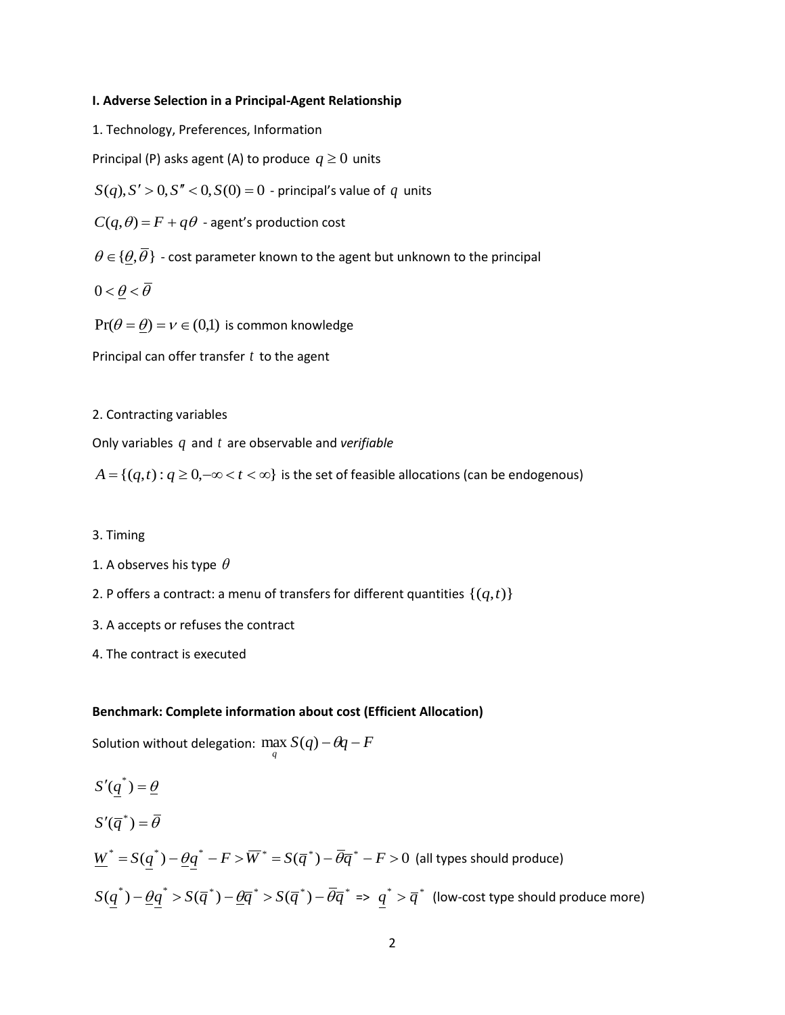#### **I. Adverse Selection in a Principal-Agent Relationship**

1. Technology, Preferences, Information

Principal (P) asks agent (A) to produce  $q \geq 0$  units

 $S(q)$ ,  $S' > 0$ ,  $S'' < 0$ ,  $S(0) = 0$  - principal's value of  $q$  units

 $C(q,\theta) = F + q\theta$  - agent's production cost

 ${\theta \in \{\underline{\theta}, \overline{\theta}\}}$  - cost parameter known to the agent but unknown to the principal

 $0<\theta<\overline{\theta}$ 

 $Pr(\theta = \underline{\theta}) = \nu \in (0,1)$  is common knowledge

Principal can offer transfer *t* to the agent

2. Contracting variables

Only variables q and t are observable and verifiable

 $A = \{(q,t): q \geq 0, -\infty < t < \infty\}$  is the set of feasible allocations (can be endogenous)

### 3. Timing

- 1. A observes his type  $\,\theta$
- 2. P offers a contract: a menu of transfers for different quantities  $\{(q,t)\}$
- 3. A accepts or refuses the contract
- 4. The contract is executed

## **Benchmark: Complete information about cost (Efficient Allocation)**

Solution without delegation:  $\max_q S(q)$  –  $\theta\!q$  –  $F$ 

$$
S'(\overline{q}^*) = \overline{\theta}
$$
  
\n
$$
S'(\overline{q}^*) = \overline{\theta}
$$
  
\n
$$
\underline{W}^* = S(\underline{q}^*) - \underline{\theta}\underline{q}^* - F > \overline{W}^* = S(\overline{q}^*) - \overline{\theta}\overline{q}^* - F > 0 \text{ (all types should produce)}
$$
  
\n
$$
S(\underline{q}^*) - \underline{\theta}\underline{q}^* > S(\overline{q}^*) - \underline{\theta}\overline{q}^* > S(\overline{q}^*) - \overline{\theta}\overline{q}^* = > \underline{q}^* > \overline{q}^* \text{ (low-cost type should produce more)}
$$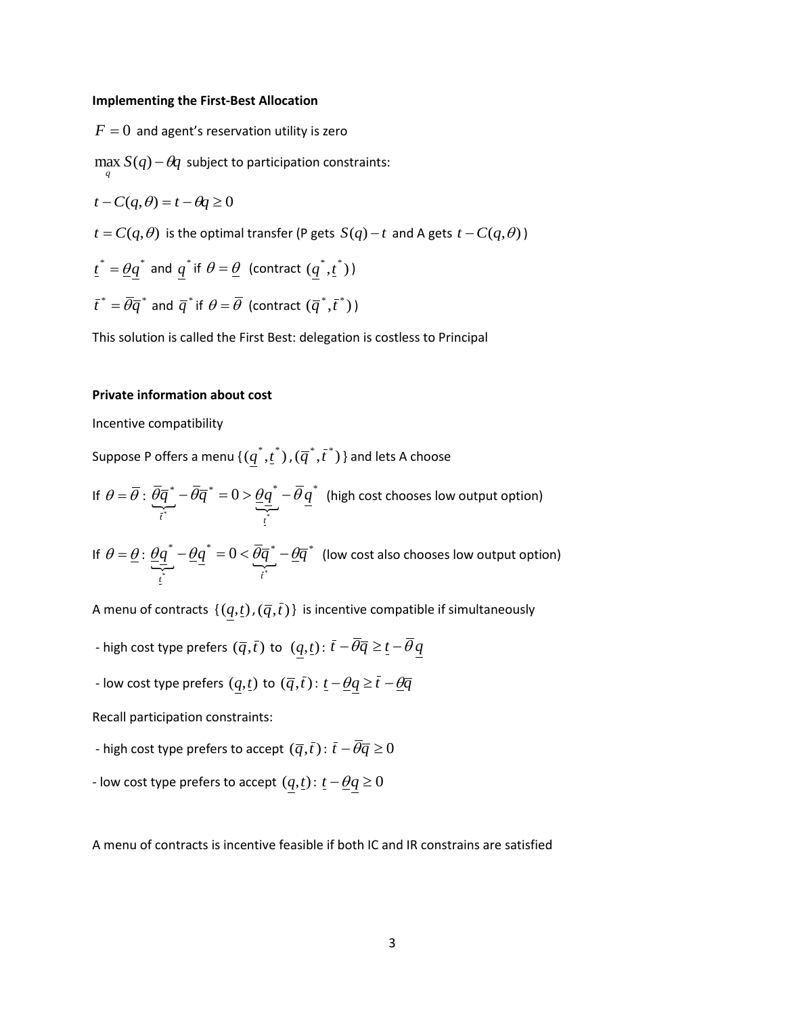#### **Implementing the First-Best Allocation**

 $F=0\,$  and agent's reservation utility is zero  $\max_{q} S(q) - \theta q$  subject to participation constraints:  $t - C(q, \theta) = t - \theta q \ge 0$  $t = C(q, \theta)$  is the optimal transfer (P gets  $S(q) - t$  and A gets  $t - C(q, \theta)$ )  $\underline{t}^* = \underline{\theta} \underline{q}^*$  and  $\underline{q}^*$  if  $\theta = \underline{\theta}$  (contract  $(\underline{q}^*, \underline{t}^*)$ )  $\overline{t}^* = \overline{\theta}\overline{q}^*$  and  $\overline{q}^*$  if  $\theta$  =  $\overline{\theta}$  (contract  $(\overline{q}^*,\overline{t}^*)$ ) This solution is called the First Best: delegation is costless to Principal

## **Private information about cost**

Incentive compatibility

Suppose P offers a menu  $\{ (q^*, \underline{t}^*)$  ,  $(\overline{q}^*, \overline{t}^*)$  } and lets A choose

If 
$$
\theta = \overline{\theta}
$$
:  $\underbrace{\overline{\theta}\overline{q}}_{\overline{i}^*}^* - \overline{\theta}\overline{q}^* = 0 > \underbrace{\theta\overline{q}}_{\overline{i}^*}^* - \overline{\theta}\underline{q}^*$  (high cost chooses low output option)

If 
$$
\theta = \underline{\theta}
$$
:  $\underbrace{\theta \underline{q}^*}_{\underline{i}} - \underbrace{\theta \underline{q}^*}_{\underline{i}^*} = 0 < \underbrace{\overline{\theta} \overline{q}^*}_{\overline{i}^*} - \underbrace{\theta \overline{q}^*}_{\underline{i}^*}$  (low cost also chooses low output option)

A menu of contracts  $\{(q,t)$  ,  $(\overline{q},\overline{t})\}$  is incentive compatible if simultaneously

- high cost type prefers  $(\overline{q}, \overline{t})$  to  $(q, t)$ :  $\overline{t}$   $\overline{\theta} \overline{q} \geq \underline{t}$   $\overline{\theta} q$
- low cost type prefers  $(q,t)$  to  $(\overline{q},\overline{t})$ :  $\underline{t}-\underline{\theta}q \geq \overline{t}-\underline{\theta}\overline{q}$

Recall participation constraints:

- high cost type prefers to accept  $(\overline{q},\overline{t})$  :  $\overline{t}-\overline{\theta}\overline{q}\geq0$
- low cost type prefers to accept  $(q, t)$ :  $t \theta q \ge 0$

A menu of contracts is incentive feasible if both IC and IR constrains are satisfied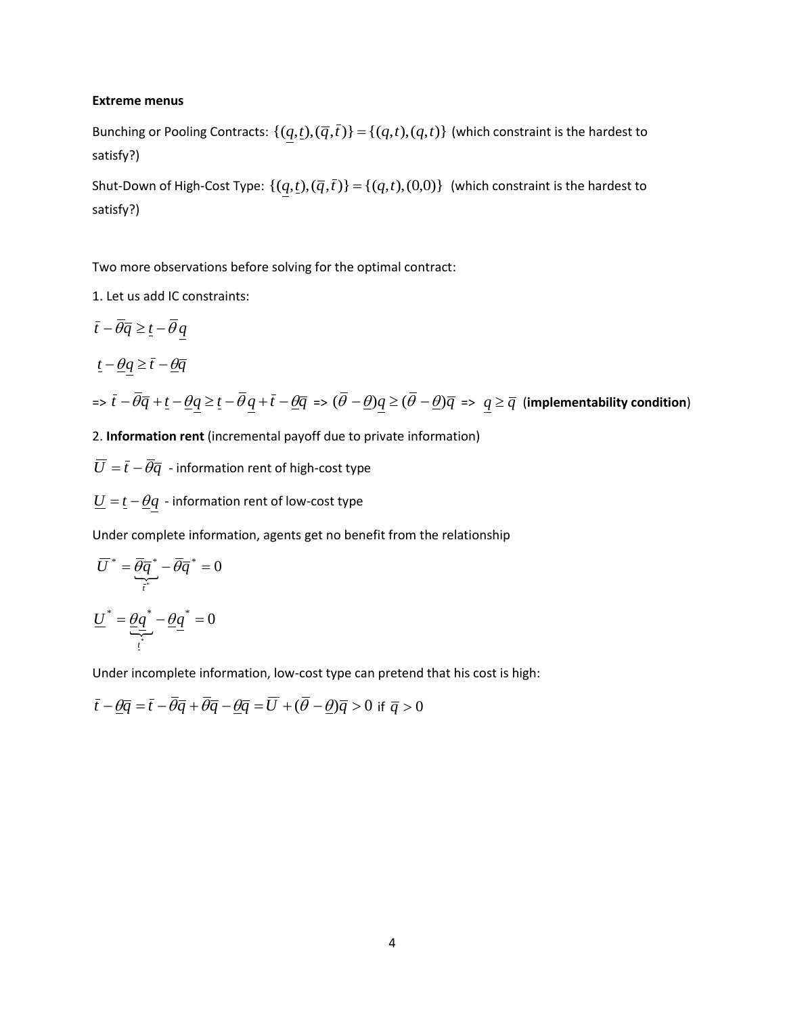#### **Extreme menus**

Bunching or Pooling Contracts:  $\{(q,t),(\overline{q},\overline{t})\} = \{(q,t),(q,t)\}$  (which constraint is the hardest to satisfy?)

Shut-Down of High-Cost Type:  $\{(q,t),(\overline{q},\overline{t})\} = \{(q,t),(0,0)\}$  (which constraint is the hardest to satisfy?)

Two more observations before solving for the optimal contract:

1. Let us add IC constraints:

$$
\begin{aligned}\n\bar{t} - \overline{\theta}\overline{q} &\geq \underline{t} - \overline{\theta}\underline{q} \\
\underline{t} - \underline{\theta}\underline{q} &\geq \overline{t} - \underline{\theta}\overline{q} \\
\Rightarrow \overline{t} - \overline{\theta}\overline{q} + \underline{t} - \underline{\theta}\underline{q} &\geq \underline{t} - \overline{\theta}\underline{q} + \overline{t} - \underline{\theta}\overline{q} \Rightarrow (\overline{\theta} - \underline{\theta})\underline{q} \geq (\overline{\theta} - \underline{\theta})\overline{q} \Rightarrow \underline{q} \geq \overline{q} \text{ (implementability condition)}\n\end{aligned}
$$

2. **Information rent** (incremental payoff due to private information)

 $\overline{U} = \overline{t} - \overline{\theta} \overline{q}$  - information rent of high-cost type

 $\underline{U} = \underline{t} - \underline{\theta}q$  - information rent of low-cost type

Under complete information, agents get no benefit from the relationship

$$
\overline{U}^* = \underbrace{\overline{\theta}\overline{q}}_{\overline{i}^*}^* - \overline{\theta}\overline{q}^* = 0
$$

$$
\underline{U}^* = \underbrace{\theta\overline{q}}_{\overline{i}^*}^* - \underbrace{\theta\overline{q}}_{\overline{l}^*}^* = 0
$$

Under incomplete information, low-cost type can pretend that his cost is high:

$$
\bar{t} - \underline{\theta}\overline{q} = \bar{t} - \overline{\theta}\overline{q} + \overline{\theta}\overline{q} - \underline{\theta}\overline{q} = \overline{U} + (\overline{\theta} - \underline{\theta})\overline{q} > 0 \text{ if } \overline{q} > 0
$$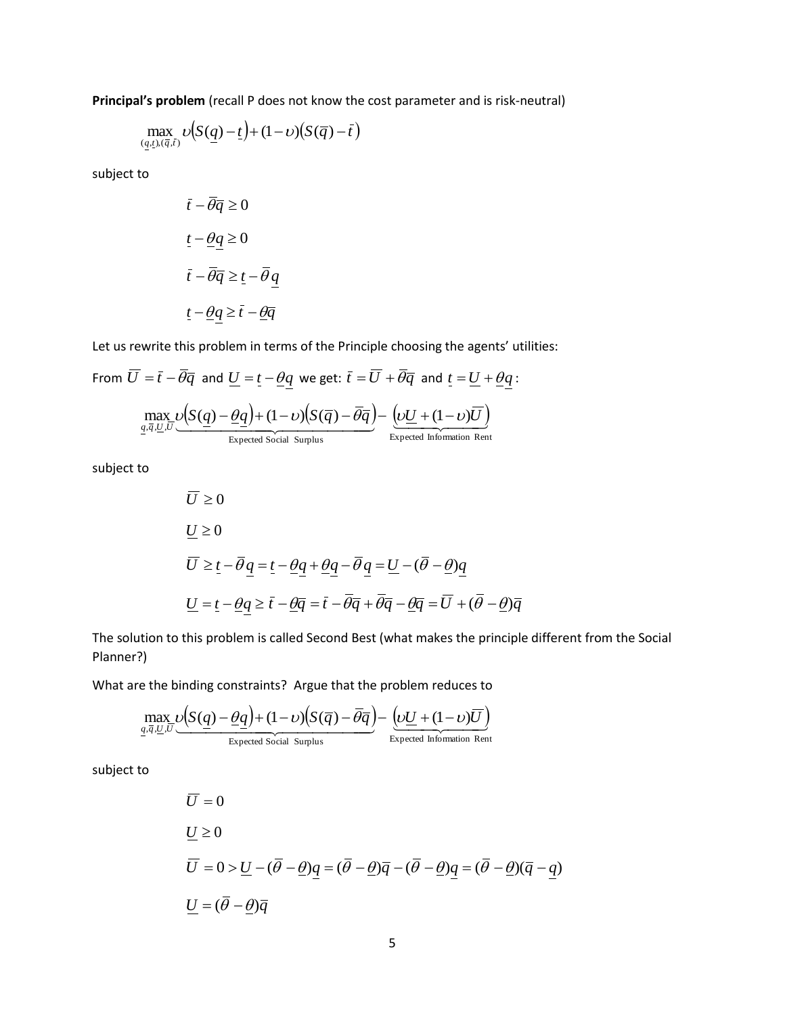**Principal's problem** (recall P does not know the cost parameter and is risk-neutral)

$$
\max_{(\underline{q},\underline{t}),(\overline{q},\overline{t})}\upsilon\big(S(\underline{q})-\underline{t}\big)+(1-\upsilon)\big(S(\overline{q})-\overline{t}\big)
$$

subject to

$$
\bar{t} - \bar{\theta}\bar{q} \ge 0
$$

$$
\underline{t} - \underline{\theta}\underline{q} \ge 0
$$

$$
\bar{t} - \bar{\theta}\bar{q} \ge \underline{t} - \bar{\theta}\underline{q}
$$

$$
\underline{t} - \underline{\theta}\underline{q} \ge \bar{t} - \underline{\theta}\bar{q}
$$

Let us rewrite this problem in terms of the Principle choosing the agents' utilities:

From 
$$
\overline{U} = \overline{t} - \overline{\theta} \overline{q}
$$
 and  $\underline{U} = \underline{t} - \underline{\theta} \underline{q}$  we get:  $\overline{t} = \overline{U} + \overline{\theta} \overline{q}$  and  $\underline{t} = \underline{U} + \underline{\theta} \underline{q}$ :

$$
\max_{q,\overline{q},\underline{U},\overline{U}} \underbrace{U(S(q)-\underline{\theta q})+(1-\nu)(S(\overline{q})-\overline{\theta q})}_{\text{Expected Social Surplus}} - \underbrace{U\underline{U}+(1-\nu)\overline{U}}_{\text{Expected Information Rent}}
$$

subject to

$$
\overline{U} \ge 0
$$
  
\n
$$
\underline{U} \ge 0
$$
  
\n
$$
\overline{U} \ge \underline{t} - \overline{\theta} \underline{q} = \underline{t} - \underline{\theta} \underline{q} + \underline{\theta} \underline{q} - \overline{\theta} \underline{q} = \underline{U} - (\overline{\theta} - \underline{\theta}) \underline{q}
$$
  
\n
$$
\underline{U} = \underline{t} - \underline{\theta} \underline{q} \ge \overline{t} - \underline{\theta} \overline{q} = \overline{t} - \overline{\theta} \overline{q} + \overline{\theta} \overline{q} - \underline{\theta} \overline{q} = \overline{U} + (\overline{\theta} - \underline{\theta}) \overline{q}
$$

The solution to this problem is called Second Best (what makes the principle different from the Social Planner?)

What are the binding constraints? Argue that the problem reduces to

$$
\underset{q,\overline{q},\underline{U},\overline{U}}{\text{max}}\underbrace{\nu\Big(S(\underline{q})-\underline{\theta}\underline{q}\Big)+(1-\nu)\Big(S(\overline{q})-\overline{\theta}\overline{q}\Big)}_{\text{Expected Social Suplus}}-\underbrace{\Big(\nu\underline{U}+(1-\nu)\overline{U}\Big)}_{\text{Expected Information Rent}}
$$

subject to

$$
\overline{U} = 0
$$
  

$$
\underline{U} \ge 0
$$
  

$$
\overline{U} = 0 > \underline{U} - (\overline{\theta} - \underline{\theta})\underline{q} = (\overline{\theta} - \underline{\theta})\overline{q} - (\overline{\theta} - \underline{\theta})\underline{q} = (\overline{\theta} - \underline{\theta})(\overline{q} - \underline{q})
$$
  

$$
\underline{U} = (\overline{\theta} - \underline{\theta})\overline{q}
$$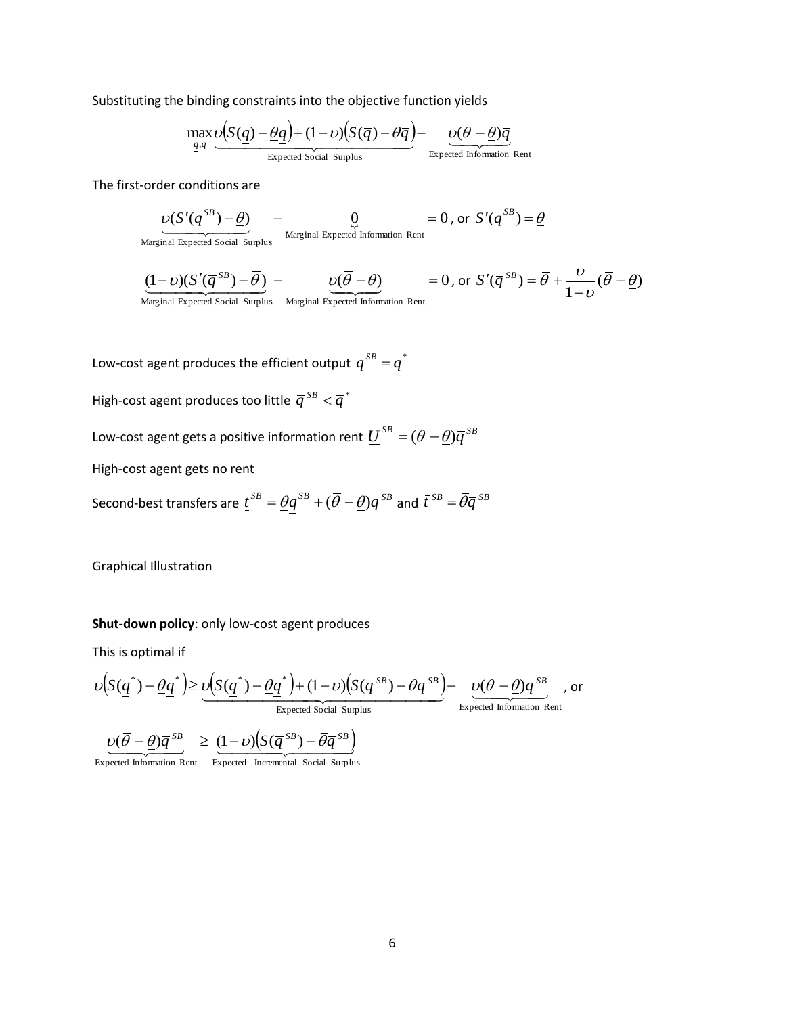Substituting the binding constraints into the objective function yields

$$
\max_{\underline{q},\overline{q}} \underbrace{\upsilon(S(\underline{q})-\underline{\theta}\underline{q})+(1-\upsilon)(S(\overline{q})-\overline{\theta}\overline{q})}_{\text{Expected Social Surplus}} - \underbrace{\upsilon(\overline{\theta}-\underline{\theta})\overline{q}}_{\text{Expected Information Rent}}
$$

The first-order conditions are

$$
\underbrace{U(S'(q^{SB}) - \underline{\theta})}_{\text{Marginal Expected Information Rent}} = 0 \text{, or } S'(q^{SB}) = \underline{\theta}
$$

Marginal Expected Social Surplus

$$
\underbrace{(1-\nu)(S'(\overline{q}^{SB})-\overline{\theta})}_{\text{Marginal Expected Social Supplus}} - \underbrace{\nu(\overline{\theta}-\underline{\theta})}_{\text{Marginal Expected Information Rent}} = 0 \text{, or } S'(\overline{q}^{SB}) = \overline{\theta} + \frac{\nu}{1-\nu}(\overline{\theta}-\underline{\theta})
$$

Low-cost agent produces the efficient output  $q^{SB}=q^*$ 

High-cost agent produces too little  $\overline{q}^{\,SB} < \overline{q}^{\,*}$ 

Low-cost agent gets a positive information rent  $\underline{U}^{SB} = (\overline{\theta} - \underline{\theta}) \overline{q}^{SB}$ 

High-cost agent gets no rent

Second-best transfers are  $\underline{t}^{SB}=\underline{\theta}q^{SB}+(\overline{\theta}-\underline{\theta})\overline{q}^{SB}$  and  $\bar{t}^{SB}=\overline{\theta}\overline{q}^{SB}$ 

Graphical Illustration

### **Shut-down policy**: only low-cost agent produces

This is optimal if

This is optimal if  
\n
$$
\upsilon\Big(S(\underline{q}^*) - \underline{\theta}\underline{q}^*\Big) \geq \underbrace{\upsilon\Big(S(\underline{q}^*) - \underline{\theta}\underline{q}^*\Big) + (1 - \upsilon)\Big(S(\overline{q}^{SB}) - \overline{\theta}\overline{q}^{SB}\Big) - \underbrace{\upsilon(\overline{\theta} - \underline{\theta})\overline{q}^{SB}}_{\text{Expected Social Suplus}}}, \text{ or}
$$

$$
\underbrace{\nu(\overline{\theta}-\underline{\theta})\overline{q}^{SB}} \geq \underbrace{(1-\nu)\left(S(\overline{q}^{SB})-\overline{\theta}\overline{q}^{SB}\right)}
$$

Expected Information Rent Expected Incremental Social Surplus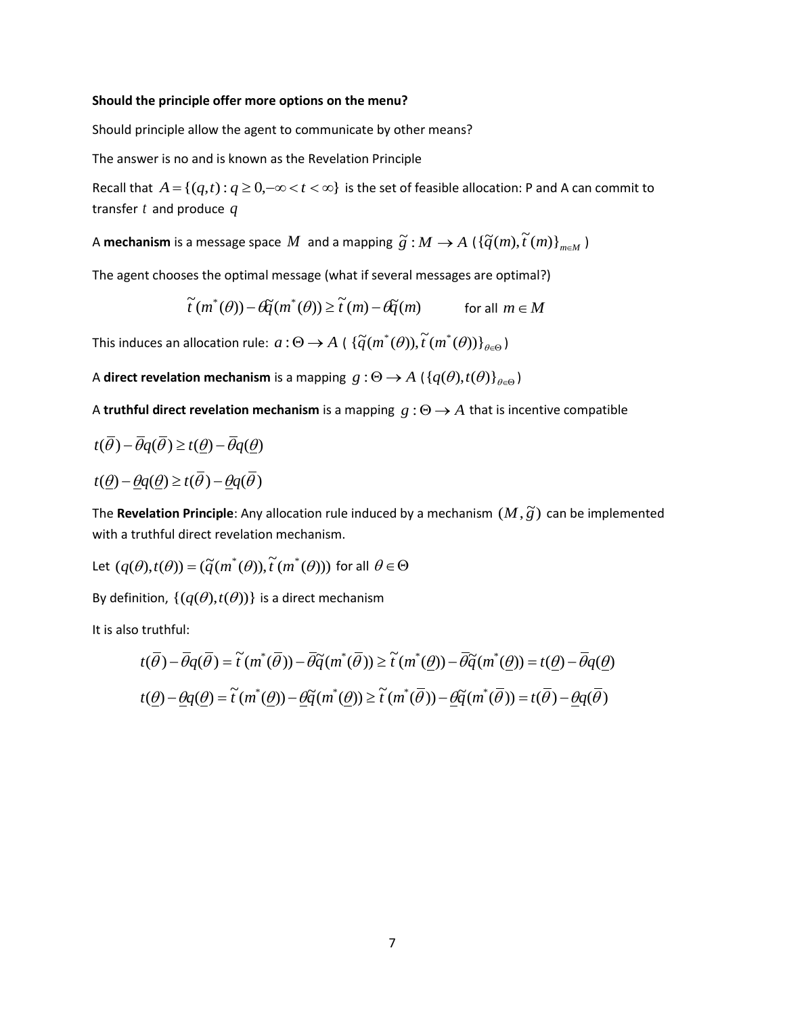#### **Should the principle offer more options on the menu?**

Should principle allow the agent to communicate by other means?

The answer is no and is known as the Revelation Principle

Recall that  $A = \{(q,t): q \geq 0, -\infty < t < \infty\}$  is the set of feasible allocation: P and A can commit to transfer *t* and produce *q*

A mechanism is a message space  $M$  and a mapping  $\widetilde{g}: M \to A \left( \{\widetilde{q}(m), \widetilde{t}(m)\}_{m \in M} \right)$ 

The agent chooses the optimal message (what if several messages are optimal?)

$$
\widetilde{t}(m^*(\theta)) - \mathcal{G}\widetilde{q}(m^*(\theta)) \ge \widetilde{t}(m) - \mathcal{G}\widetilde{q}(m) \qquad \text{for all } m \in M
$$

This induces an allocation rule:  $a: \Theta \to A$  (  $\{\widetilde{q}(m^*(\theta)), \widetilde{t}(m^*(\theta))\}_{\theta \in \Theta}$  )

A direct revelation mechanism is a mapping  $g : \Theta \to A \; (\{q(\theta), t(\theta)\}_{\theta \in \Theta})$ 

A **truthful direct revelation mechanism** is a mapping  $g : \Theta \rightarrow A$  that is incentive compatible

$$
t(\overline{\theta}) - \overline{\theta}q(\overline{\theta}) \ge t(\underline{\theta}) - \overline{\theta}q(\underline{\theta})
$$

 $t(\underline{\theta}) - \underline{\theta}q(\underline{\theta}) \geq t(\overline{\theta}) - \underline{\theta}q(\overline{\theta})$ 

The **Revelation Principle**: Any allocation rule induced by a mechanism  $(M, \tilde{g})$  can be implemented with a truthful direct revelation mechanism.

Let 
$$
(q(\theta), t(\theta)) = (\tilde{q}(m^*(\theta)), \tilde{t}(m^*(\theta)))
$$
 for all  $\theta \in \Theta$ 

By definition,  $\{(q(\theta), t(\theta))\}$  is a direct mechanism

It is also truthful:

$$
t(\overline{\theta}) - \overline{\theta}q(\overline{\theta}) = \tilde{t}(m^*(\overline{\theta})) - \overline{\theta}\tilde{q}(m^*(\overline{\theta})) \ge \tilde{t}(m^*(\underline{\theta})) - \overline{\theta}\tilde{q}(m^*(\underline{\theta})) = t(\underline{\theta}) - \overline{\theta}q(\underline{\theta})
$$
  

$$
t(\underline{\theta}) - \underline{\theta}q(\underline{\theta}) = \tilde{t}(m^*(\underline{\theta})) - \underline{\theta}\tilde{q}(m^*(\overline{\theta})) \ge \tilde{t}(m^*(\overline{\theta})) - \underline{\theta}\tilde{q}(m^*(\overline{\theta})) = t(\overline{\theta}) - \underline{\theta}q(\overline{\theta})
$$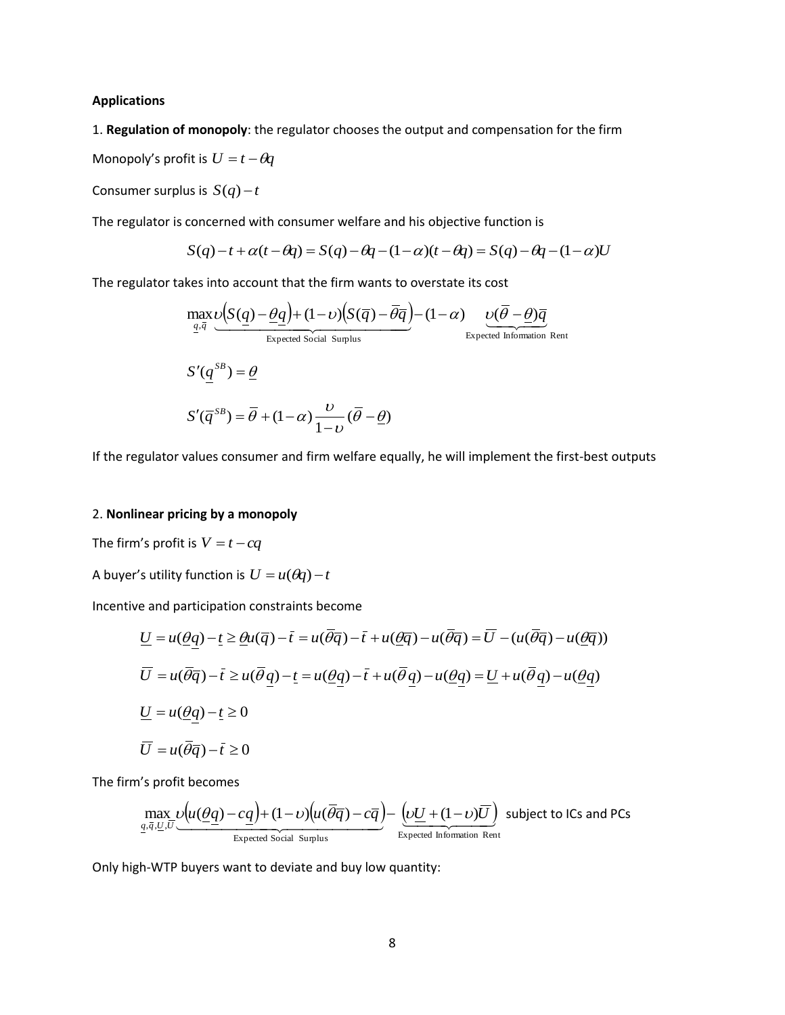### **Applications**

1. **Regulation of monopoly**: the regulator chooses the output and compensation for the firm

Monopoly's profit is  $U = t - \theta q$ 

Consumer surplus is  $S(q) - t$ 

The regulator is concerned with consumer welfare and his objective function is

$$
S(q)-t+\alpha(t-\theta q)=S(q)-\theta q-(1-\alpha)(t-\theta q)=S(q)-\theta q-(1-\alpha)U
$$

 $\ddot{\phantom{a}}$ 

The regulator takes into account that the firm wants to overstate its cost

$$
\max_{\underline{q}, \overline{q}} \underbrace{\upsilon(S(\underline{q}) - \underline{\theta}\underline{q}) + (1 - \upsilon)(S(\overline{q}) - \overline{\theta}\overline{q})}_{\text{Expected Social Surplus}} - (1 - \alpha) \underbrace{\upsilon(\overline{\theta} - \underline{\theta})\overline{q}}_{\text{Expected Information Rent}}
$$
\n
$$
S'(\underline{q}^{SB}) = \underline{\theta}
$$
\n
$$
S'(\overline{q}^{SB}) = \overline{\theta} + (1 - \alpha) \underbrace{\upsilon}_{1 - \upsilon} (\overline{\theta} - \underline{\theta})
$$

If the regulator values consumer and firm welfare equally, he will implement the first-best outputs

## 2. **Nonlinear pricing by a monopoly**

The firm's profit is  $V = t - cq$ 

A buyer's utility function is  $U = u(\theta q) - t$ 

Incentive and participation constraints become

$$
\underline{U} = u(\underline{\theta}\underline{q}) - \underline{t} \ge \underline{\theta}u(\overline{q}) - \overline{t} = u(\overline{\theta}\overline{q}) - \overline{t} + u(\underline{\theta}\overline{q}) - u(\overline{\theta}\overline{q}) = \overline{U} - (u(\overline{\theta}\overline{q}) - u(\underline{\theta}\overline{q}))
$$
\n
$$
\overline{U} = u(\overline{\theta}\overline{q}) - \overline{t} \ge u(\overline{\theta}\underline{q}) - \underline{t} = u(\underline{\theta}\underline{q}) - \overline{t} + u(\overline{\theta}\underline{q}) - u(\underline{\theta}\underline{q}) = \underline{U} + u(\overline{\theta}\underline{q}) - u(\underline{\theta}\underline{q})
$$
\n
$$
\underline{U} = u(\underline{\theta}\underline{q}) - \underline{t} \ge 0
$$
\n
$$
\overline{U} = u(\overline{\theta}\overline{q}) - \overline{t} \ge 0
$$

The firm's profit becomes

$$
\max_{\underline{q},\overline{q},\underline{U},\overline{U}} \underbrace{\mathcal{U}(u(\underline{\theta}\underline{q})-c\underline{q})+(1-\nu)\big(u(\overline{\theta}\overline{q})-c\overline{q}\big)-\underbrace{\big(\nu\underline{U}+(1-\nu)\overline{U}\big)}_{\text{Expected Information Rent}} \text{ subject to ICs and PCs}
$$

Only high-WTP buyers want to deviate and buy low quantity: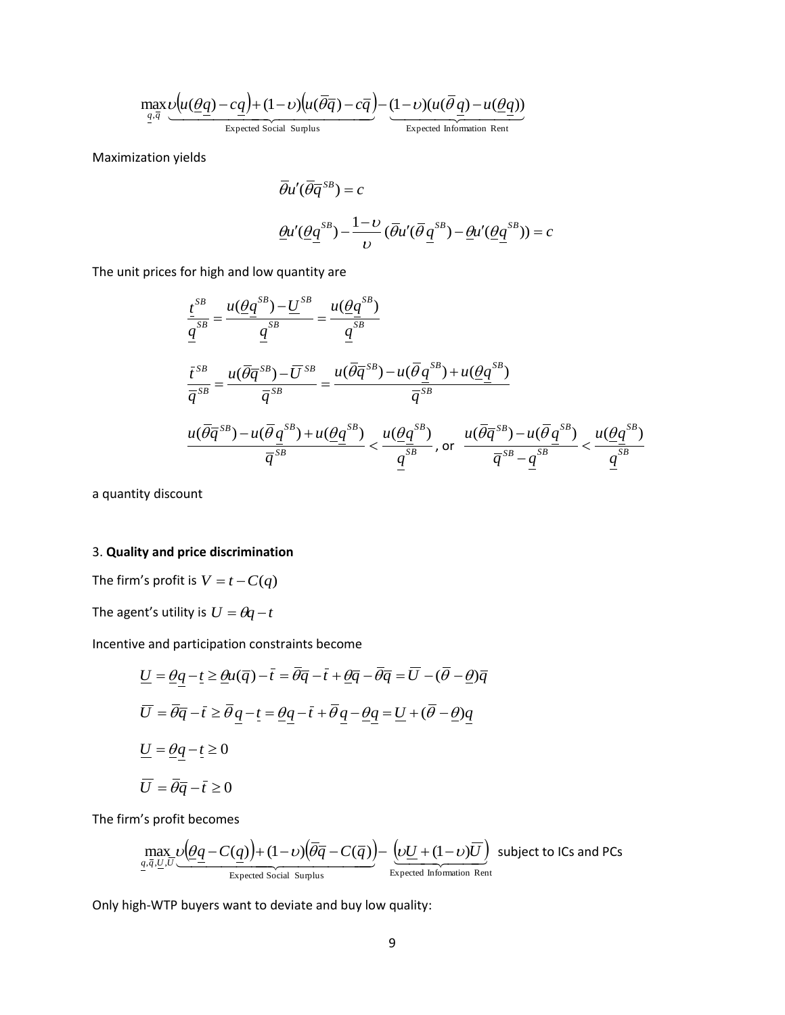$$
\underbrace{ \max_{q.\overline{q}} \underbrace{\nu \big( u(\underline{\theta}q) - cq \big) + (1-\nu) \big( u(\overline{\theta}\overline{q}) - c\overline{q} \big) }_{\text{Expected Social Suplus}} - \underbrace{(1-\nu)(u(\overline{\theta}q) - u(\underline{\theta}q))}_{\text{Expected Information Rent}}
$$

Maximization yields

$$
\overline{\theta}u'(\overline{\theta}\overline{q}^{SB}) = c
$$

$$
\underline{\theta}u'(\underline{\theta}\underline{q}^{SB}) - \frac{1-\nu}{\nu}(\overline{\theta}u'(\overline{\theta}\underline{q}^{SB}) - \underline{\theta}u'(\underline{\theta}\underline{q}^{SB})) = c
$$

The unit prices for high and low quantity are

$$
\frac{t^{SB}}{q^{SB}} = \frac{u(\underline{\theta}q^{SB}) - \underline{U}^{SB}}{q^{SB}} = \frac{u(\underline{\theta}q^{SB})}{q^{SB}}
$$
\n
$$
\frac{t^{SB}}{\overline{q}^{SB}} = \frac{u(\overline{\theta}\overline{q}^{SB}) - \overline{U}^{SB}}{\overline{q}^{SB}} = \frac{u(\overline{\theta}\overline{q}^{SB}) - u(\overline{\theta}q^{SB}) + u(\underline{\theta}q^{SB})}{\overline{q}^{SB}}
$$
\n
$$
\frac{u(\overline{\theta}\overline{q}^{SB}) - u(\overline{\theta}q^{SB}) + u(\underline{\theta}q^{SB})}{\overline{q}^{SB}} < \frac{u(\underline{\theta}q^{SB})}{q^{SB}}, \text{ or } \frac{u(\overline{\theta}\overline{q}^{SB}) - u(\overline{\theta}q^{SB})}{\overline{q}^{SB}} < \frac{u(\underline{\theta}q^{SB})}{q^{SB}}
$$

a quantity discount

## 3. **Quality and price discrimination**

The firm's profit is  $V = t - C(q)$ 

The agent's utility is  $U = \theta q - t$ 

Incentive and participation constraints become

$$
\underline{U} = \underline{\theta}\underline{q} - \underline{t} \ge \underline{\theta}\underline{u}(\overline{q}) - \overline{t} = \overline{\theta}\overline{q} - \overline{t} + \underline{\theta}\overline{q} - \overline{\theta}\overline{q} = \overline{U} - (\overline{\theta} - \underline{\theta})\overline{q}
$$
\n
$$
\overline{U} = \overline{\theta}\overline{q} - \overline{t} \ge \overline{\theta}\underline{q} - \underline{t} = \underline{\theta}\underline{q} - \overline{t} + \overline{\theta}\underline{q} - \underline{\theta}\underline{q} = \underline{U} + (\overline{\theta} - \underline{\theta})\underline{q}
$$
\n
$$
\underline{U} = \underline{\theta}\underline{q} - \underline{t} \ge 0
$$
\n
$$
\overline{U} = \overline{\theta}\overline{q} - \overline{t} \ge 0
$$

The firm's profit becomes

$$
\underbrace{\max_{q,\overline{q},\underline{U},\overline{U}}\underbrace{\nu(\underline{\theta}\underline{q}-C(\underline{q}))+(1-\nu)(\overline{\theta}\overline{q}-C(\overline{q})}_{\text{Expected Social Surplus}})-\underbrace{\left(\nu\underline{U}+(1-\nu)\overline{U}\right)}_{\text{Expected Information Rent}} \text{ subject to ICs and PCs}
$$

Only high-WTP buyers want to deviate and buy low quality: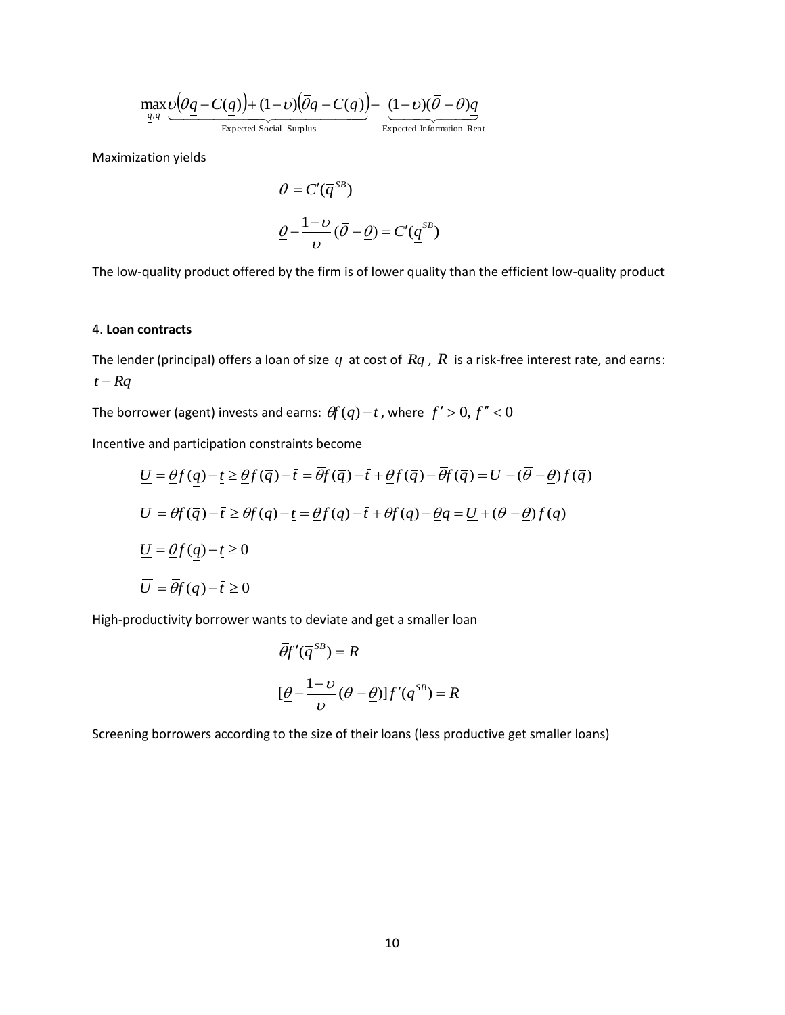$$
\max_{q,\bar{q}} \underbrace{\upsilon(\underline{\theta q} - C(q)) + (1 - \upsilon)(\overline{\theta q} - C(\overline{q}))}_{\text{Expected Social Surplus}} - \underbrace{(1 - \upsilon)(\overline{\theta} - \underline{\theta})q}_{\text{Expected Information Rent}}
$$

Maximization yields

$$
\overline{\theta} = C'(\overline{q}^{SB})
$$

$$
\underline{\theta} - \frac{1 - \nu}{\nu} (\overline{\theta} - \underline{\theta}) = C'(\underline{q}^{SB})
$$

The low-quality product offered by the firm is of lower quality than the efficient low-quality product

### 4. **Loan contracts**

The lender (principal) offers a loan of size  $q$  at cost of  $Rq$  ,  $R$  is a risk-free interest rate, and earns:  $t - Rq$ 

The borrower (agent) invests and earns:  $\theta f(q)-t$  , where  $f' > 0, f'' < 0$ 

Incentive and participation constraints become

$$
\frac{\max}{t^{q}} \underbrace{\sqrt{(\theta q - C(q))} + (1 - \nu)(\theta \overline{q} - C(\overline{q}))}_{\text{Expected Soidal Supplus}} - \underbrace{(1 - \nu)(\theta - \theta)q}_{\text{Expected Bobrmation Rent}}
$$
\n
$$
\overline{\theta} = C'(q^{SB})
$$
\n
$$
\underline{\theta} - \frac{1 - \nu}{\nu} (\overline{\theta} - \underline{\theta}) = C'(q^{SB})
$$
\n
$$
\underline{\theta} - \frac{1 - \nu}{\nu} (\overline{\theta} - \underline{\theta}) = C'(q^{SB})
$$
\n
$$
\text{countracts}
$$
\n
$$
\text{there, for the original graph, } \overline{\theta} = \frac{1 - \nu}{\nu} (\overline{\theta} - \underline{\theta}) = C'(q^{SB})
$$
\n
$$
\text{countracts}
$$
\n
$$
\text{corrects}
$$
\n
$$
\text{there, for the original graph, } \overline{\theta} = \frac{1 - \nu}{\nu} (\overline{\theta} - \underline{\theta}) = C'(q^{SB})
$$
\n
$$
\text{constrained form, } \overline{\theta} = \frac{1 - \nu}{\nu} (\overline{\theta} - \underline{\theta}) = C'(q^{SB})
$$
\n
$$
\text{constrained form, } \overline{\theta} = \frac{1 - \nu}{\nu} (\overline{\theta} - \underline{\theta}) = C'(q^{SB})
$$
\n
$$
\overline{\theta} = \frac{1 - \nu}{\nu} \geq \frac{\nu}{\nu} (\overline{q}) - \overline{\theta} = \frac{\overline{\theta}}{\nu} (\overline{q}) - \overline{\theta} + \frac{\nu}{\nu} (\overline{q}) - \frac{\overline{\theta}}{\nu} (\overline{q}) = \overline{\theta} - (\overline{\theta} - \underline{\theta}) \int (q) \overline{\theta}
$$
\n
$$
\overline{\theta} = \frac{\overline{\theta}}{\nu} (\overline{q}) - \overline{\nu} \geq 0
$$
\n
$$
\overline{\theta} = \frac{1 - \nu}{\nu} (\overline{\theta} - \underline{\theta}) = \frac{1 - \nu}{\nu} (\overline{\theta} - \underline{\theta}) = \frac{1 - \nu}{\nu} (\overline{\theta} - \underline{\theta}) = \frac{1 - \nu}{\nu} (\overline{\theta} - \underline{\theta}) = \frac
$$

High-productivity borrower wants to deviate and get a smaller loan

$$
\overline{\theta}f'(\overline{q}^{SB}) = R
$$

$$
[\underline{\theta} - \frac{1-\nu}{\nu}(\overline{\theta} - \underline{\theta})]f'(\underline{q}^{SB}) = R
$$

Screening borrowers according to the size of their loans (less productive get smaller loans)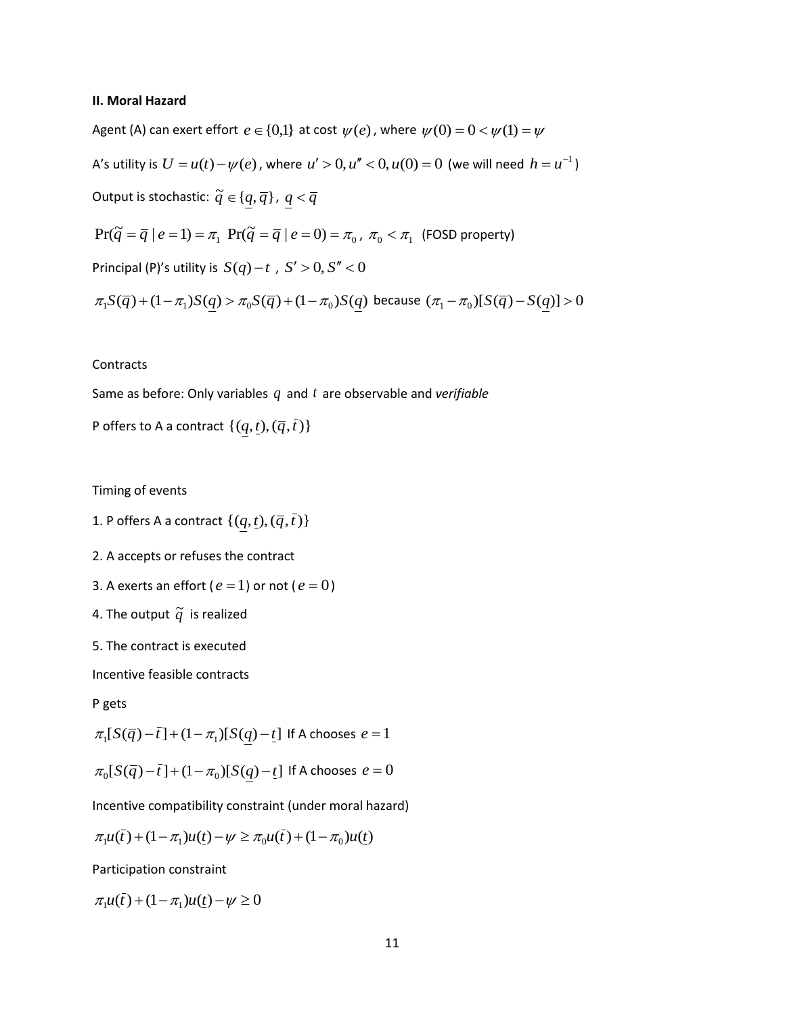#### **II. Moral Hazard**

Agent (A) can exert effort  $e \in \{0,1\}$  at cost  $\psi(e)$  , where  $\psi(0) = 0 < \psi(1) = \psi$ 

A's utility is  $U = u(t) - \psi(e)$  , where  $u' > 0, u'' < 0, u(0) = 0$  (we will need  $h = u^{-1}$ )

Output is stochastic:  $\widetilde{q} \in \{q, \overline{q}\}$  ,  $\, < \overline{q}$ 

$$
Pr(\widetilde{q} = \overline{q} \mid e = 1) = \pi_1 \ Pr(\widetilde{q} = \overline{q} \mid e = 0) = \pi_0, \ \pi_0 < \pi_1 \ \text{(FOSD property)}
$$

Principal (P)'s utility is  $S(q) - t$  ,  $S' > 0, S'' < 0$ 

$$
\pi_1 S(\bar{q}) + (1 - \pi_1) S(q) > \pi_0 S(\bar{q}) + (1 - \pi_0) S(q) \text{ because } (\pi_1 - \pi_0) [S(\bar{q}) - S(q)] > 0
$$

### **Contracts**

Same as before: Only variables  $q$  and  $t$  are observable and *verifiable* 

P offers to A a contract  $\{(q, t),(\overline{q}, \overline{t})\}$ 

Timing of events

- 1. P offers A a contract  $\{(q, t),(\overline{q}, \overline{t})\}$
- 2. A accepts or refuses the contract
- 3. A exerts an effort ( $e = 1$ ) or not ( $e = 0$ )
- 4. The output  $\widetilde{q}$  is realized
- 5. The contract is executed

Incentive feasible contracts

P gets

$$
\pi_1[S(\overline{q})-\overline{t}] + (1-\pi_1)[S(q)-\underline{t}] \text{ If A chooses } e = 1
$$

 $\pi_0[S(\overline q) - \overline t] + (1 - \pi_0)[S(q) - \underline t]$  If A chooses  $e = 0$ 

Incentive compatibility constraint (under moral hazard)

$$
\pi_1 u(\bar{t}) + (1 - \pi_1)u(\underline{t}) - \psi \ge \pi_0 u(\bar{t}) + (1 - \pi_0)u(\underline{t})
$$

Participation constraint

 $\pi_1 u(\bar{t}) + (1 - \pi_1) u(\bar{t}) - \psi \ge 0$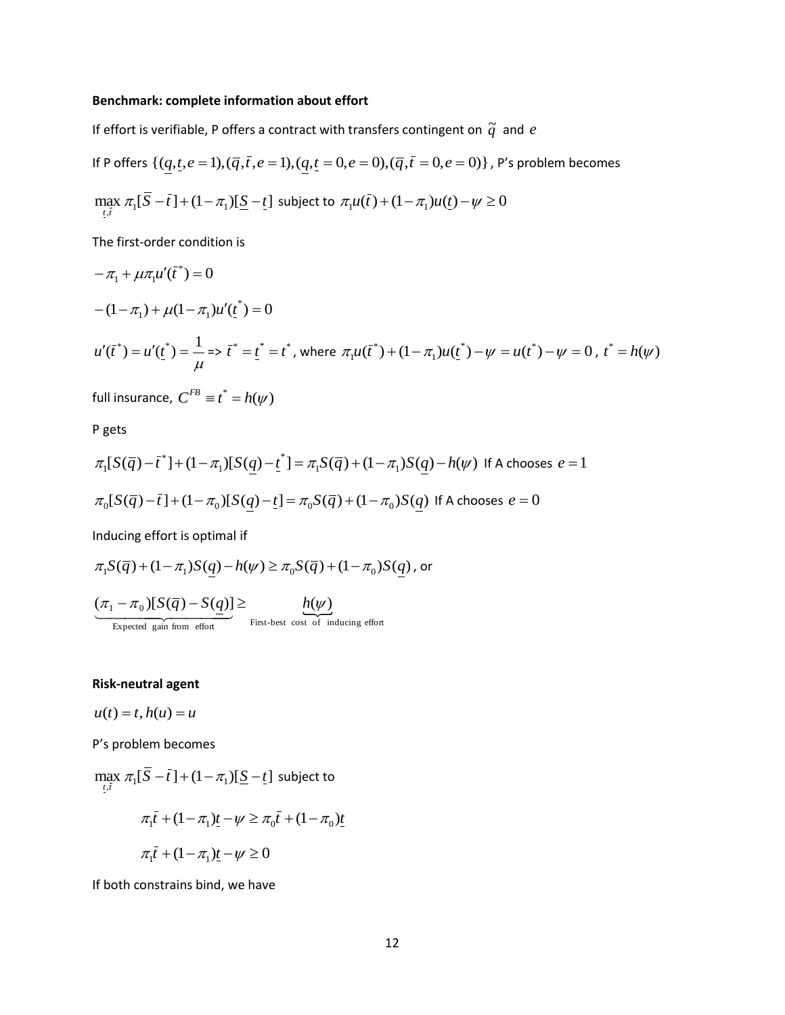### **Benchmark: complete information about effort**

If effort is verifiable, P offers a contract with transfers contingent on  $\widetilde{q}$  and  $e$ 

If P offers 
$$
\{(\underline{q}, \underline{t}, e = 1), (\overline{q}, \overline{t}, e = 1), (\underline{q}, \underline{t} = 0, e = 0), (\overline{q}, \overline{t} = 0, e = 0)\}
$$
, P's problem becomes  
\n
$$
\max_{\underline{t}, \underline{i}} \pi_1[\overline{S} - \overline{t}] + (1 - \pi_1)[\underline{S} - \underline{t}] \text{ subject to } \pi_1 u(\overline{t}) + (1 - \pi_1)u(\underline{t}) - \psi \ge 0
$$

The first-order condition is

$$
-\pi_1 + \mu \pi_1 u'(\bar{t}^*) = 0
$$
  
-(1 - \pi\_1) + \mu (1 - \pi\_1) u'(\underline{t}^\*) = 0  

$$
u'(\bar{t}^*) = u'(\underline{t}^*) = \frac{1}{\mu} \Rightarrow \bar{t}^* = \underline{t}^* = t^*, \text{ where } \pi_1 u(\bar{t}^*) + (1 - \pi_1) u(\underline{t}^*) - \psi = u(t^*) - \psi = 0, \ t^* = h(\psi)
$$

full insurance,  $C^{FB} \equiv t^* = h(\psi)$ 

P gets

$$
\pi_1[S(\overline{q}) - \overline{t}^*] + (1 - \pi_1)[S(\underline{q}) - \underline{t}^*] = \pi_1 S(\overline{q}) + (1 - \pi_1)S(\underline{q}) - h(\psi)
$$
 If A chooses  $e = 1$   

$$
\pi_0[S(\overline{q}) - \overline{t}] + (1 - \pi_0)[S(\underline{q}) - \underline{t}] = \pi_0 S(\overline{q}) + (1 - \pi_0)S(\underline{q})
$$
 If A chooses  $e = 0$ 

Inducing effort is optimal if

$$
\pi_1 S(\overline{q}) + (1 - \pi_1) S(\underline{q}) - h(\psi) \ge \pi_0 S(\overline{q}) + (1 - \pi_0) S(\underline{q})
$$
, or  

$$
\underbrace{(\pi_1 - \pi_0)[S(\overline{q}) - S(\underline{q})]}_{\text{Expected gain from effort}} \ge \underbrace{h(\psi)}_{\text{First-best cost of inducing effort}}
$$

## **Risk-neutral agent**

 $u(t) = t$ ,  $h(u) = u$ 

P's problem becomes

 $\max_{t,\bar{t}} \pi_1[\bar{S}-\bar{t}] + (1-\pi_1)[\underline{S}-\underline{t}]$  subject to  $\pi_1 \bar{t} + (1 - \pi_1) \underline{t} - \psi \ge \pi_0 \bar{t} + (1 - \pi_0) \underline{t}$  $\pi_1 \overline{t} + (1 - \pi_1) \underline{t} - \psi \ge 0$ 

If both constrains bind, we have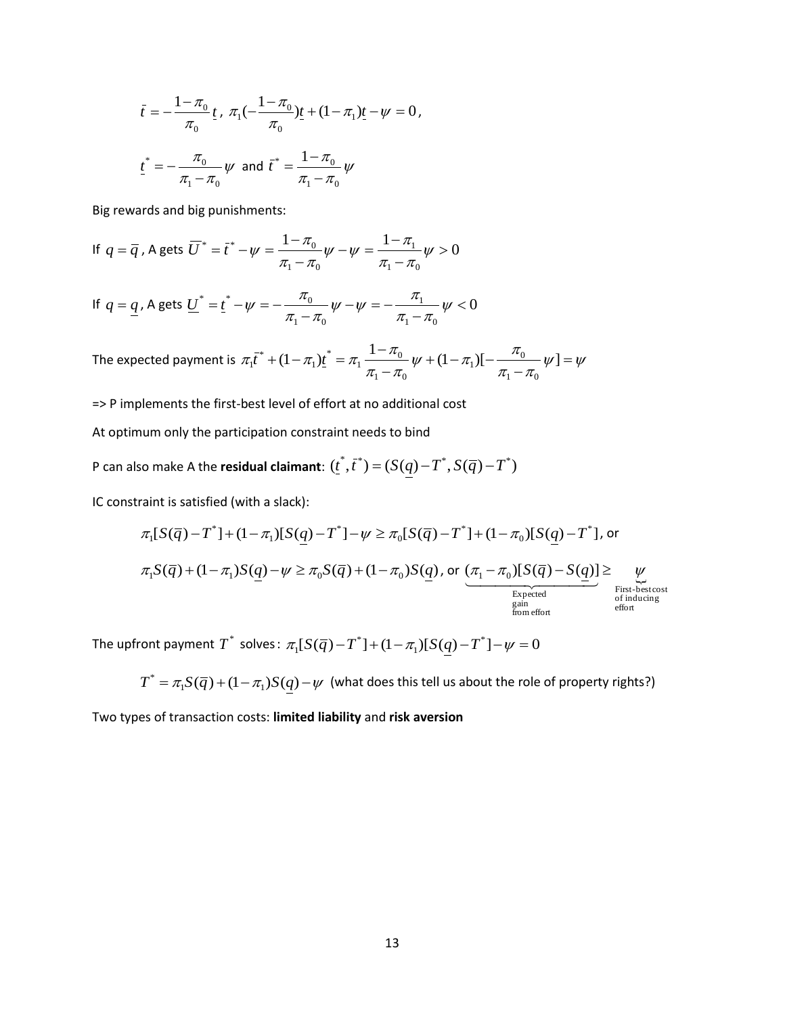$$
\bar{t} = -\frac{1 - \pi_0}{\pi_0} \underline{t}, \ \pi_1(-\frac{1 - \pi_0}{\pi_0})\underline{t} + (1 - \pi_1)\underline{t} - \psi = 0,
$$
  

$$
\underline{t}^* = -\frac{\pi_0}{\pi_1 - \pi_0} \psi \text{ and } \bar{t}^* = \frac{1 - \pi_0}{\pi_1 - \pi_0} \psi
$$

Big rewards and big punishments:

If 
$$
q = \overline{q}
$$
, A gets  $\overline{U}^* = \overline{t}^* - \psi = \frac{1 - \pi_0}{\pi_1 - \pi_0} \psi - \psi = \frac{1 - \pi_1}{\pi_1 - \pi_0} \psi > 0$ 

If 
$$
q = \underline{q}
$$
, A gets  $\underline{U}^* = \underline{t}^* - \underline{\psi} = -\frac{\pi_0}{\pi_1 - \pi_0} \underline{\psi} - \underline{\psi} = -\frac{\pi_1}{\pi_1 - \pi_0} \underline{\psi} < 0$ 

The expected payment is  $\pi_1 t^* + (1 - \pi_1) t = \pi_1 \frac{1 - \mu_0}{\pi_1 - \pi_0} \psi + (1 - \pi_1) [-\frac{\mu_0}{\pi_1 - \pi_0} \psi] = \psi$  $\frac{1-\pi_0}{\pi_1-\pi_0}\psi+(1-\pi_1)[-\frac{\pi_0}{\pi_1-\pi_0}]$  $\pi_1 \bar{t}^* + (1 - \pi_1) t^* = \pi_1 \frac{1 - \pi_0}{\sqrt{1 - \pi_0}} \psi + (1 - \pi_1) [-\frac{\pi_0}{\sqrt{1 - \pi_0}} \psi] =$  $\overline{a}$  $+(1 - \pi_1)[ \overline{a}$  $+(1 - \pi_1)t^* = \pi_1 \frac{1 - \pi_0}{\sqrt{1 - \pi_1}} \psi + (1 - \pi_1)[-\frac{\pi_0}{\sqrt{1 - \pi_1}} \psi]$  $1 - \mu_0$  $\frac{1}{1}$ )[- $\frac{n_0}{1}$  $1 - \mu_0$  $\frac{1-\mu_0}{1-\mu_0}$ \* 1 \*  $t_1 \bar{t}^* + (1 - \pi_1)t_1$ 

=> P implements the first-best level of effort at no additional cost

At optimum only the participation constraint needs to bind

P can also make A the **residual claimant**:  $(\vec{t}, \vec{t}) = (S(q) - T^*, S(\overline{q}) - T^*)$ 

IC constraint is satisfied (with a slack):

$$
\pi_1[S(\overline{q}) - T^*] + (1 - \pi_1)[S(q) - T^*] - \psi \ge \pi_0[S(\overline{q}) - T^*] + (1 - \pi_0)[S(q) - T^*], \text{ or}
$$
\n
$$
\pi_1S(\overline{q}) + (1 - \pi_1)S(q) - \psi \ge \pi_0S(\overline{q}) + (1 - \pi_0)S(q), \text{ or } \underbrace{(\pi_1 - \pi_0)[S(\overline{q}) - S(q)]}_{\text{Expected}} \ge \psi_{\text{First-bestcost of inducing} \atop \text{of inducing}} \xrightarrow[\text{form of the form of the form}]
$$

The upfront payment  $T^*$  solves:  $\pi_1[S(\overline q)-T^*]+(1-\pi_1)[S(q)-T^*]-\psi=0$ 1  $\pi_1[S(\overline{q})-T^*]+(1-\pi_1)[S(q)-T^*]-\psi=$ 

 $T^* = \pi_1 S(\overline q) + (1-\pi_1) S(q) - \psi \,$  (what does this tell us about the role of property rights?)

Two types of transaction costs: **limited liability** and **risk aversion**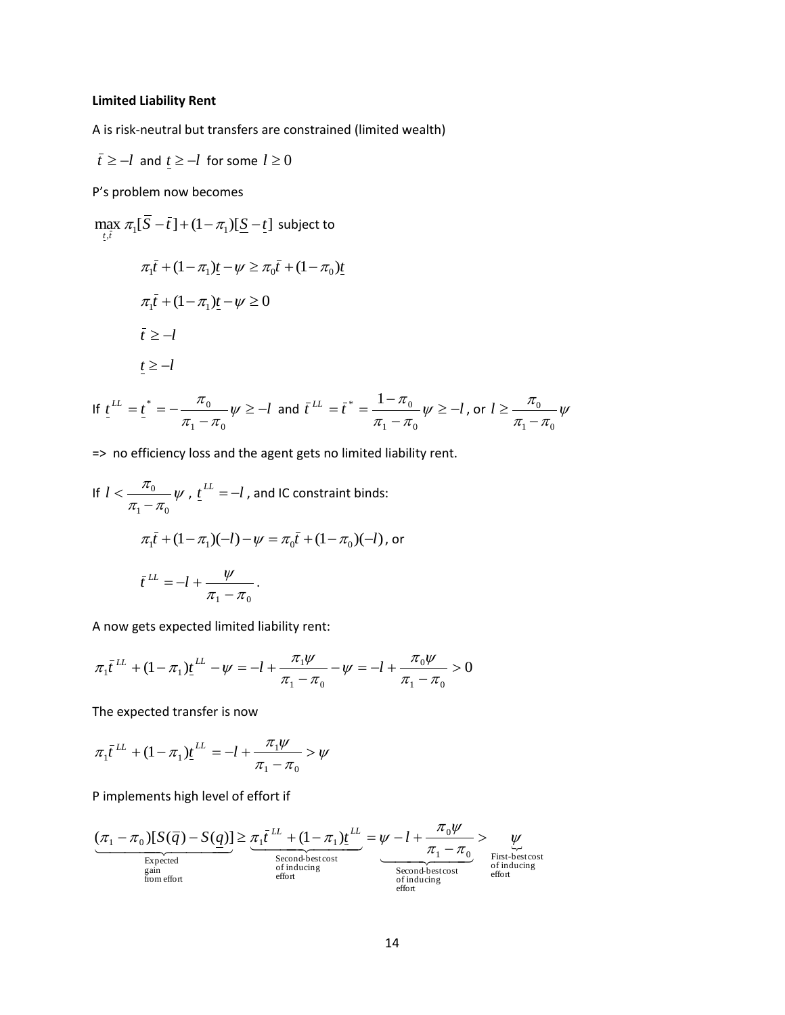# **Limited Liability Rent**

A is risk-neutral but transfers are constrained (limited wealth)

$$
\bar{t} \ge -l
$$
 and  $\underline{t} \ge -l$  for some  $l \ge 0$ 

P's problem now becomes

$$
\max_{t,\bar{t}} \pi_1[\overline{S} - \overline{t}] + (1 - \pi_1)[\underline{S} - \underline{t}] \text{ subject to}
$$
\n
$$
\pi_1 \overline{t} + (1 - \pi_1)\underline{t} - \psi \ge \pi_0 \overline{t} + (1 - \pi_0)\underline{t}
$$
\n
$$
\pi_1 \overline{t} + (1 - \pi_1)\underline{t} - \psi \ge 0
$$
\n
$$
\overline{t} \ge -l
$$
\n
$$
\underline{t} \ge -l
$$
\nIf  $t^L = t^* = -\frac{\pi_0}{\sqrt{t}} \quad \text{if } t^L = \overline{t}^* = \frac{1 - \pi_0}{\sqrt{t}} \quad \text{if } t^L = \overline{t}^* = \frac{1 - \pi_0}{\sqrt{t}} \quad \text{if } t^L = \frac{1 - \pi_0}{\sqrt{t}} \quad \text{if } t^L = \frac{1 - \pi_0}{\sqrt{t}} \quad \text{if } t^L = \frac{1 - \pi_0}{\sqrt{t}} \quad \text{if } t^L = \frac{1 - \pi_0}{\sqrt{t}} \quad \text{if } t^L = \frac{1 - \pi_0}{\sqrt{t}} \quad \text{if } t^L = \frac{1 - \pi_0}{\sqrt{t}} \quad \text{if } t^L = \frac{1 - \pi_0}{\sqrt{t}} \quad \text{if } t^L = \frac{1 - \pi_0}{\sqrt{t}} \quad \text{if } t^L = \frac{1 - \pi_0}{\sqrt{t}} \quad \text{if } t^L = \frac{1 - \pi_0}{\sqrt{t}} \quad \text{if } t^L = \frac{1 - \pi_0}{\sqrt{t}} \quad \text{if } t^L = \frac{1 - \pi_0}{\sqrt{t}} \quad \text{if } t^L = \frac{1 - \pi_0}{\sqrt{t}} \quad \text{if } t^L = \frac{1 - \pi_0}{\sqrt{t}} \quad \text{if } t^L = \frac{1 - \pi_0}{\sqrt{t}} \quad \text{if } t^L = \frac{1 - \pi_0}{\sqrt{t}} \quad \text{if } t^L = \frac{1 - \pi_0}{\sqrt{t}} \quad \text{if } t^L = \frac{1 - \pi_0}{\sqrt{t}} \quad \text{if } t$ 

If 
$$
\underline{t}^{LL} = \underline{t}^* = -\frac{\pi_0}{\pi_1 - \pi_0} \psi \ge -l
$$
 and  $\overline{t}^{LL} = \overline{t}^* = \frac{1 - \pi_0}{\pi_1 - \pi_0} \psi \ge -l$ , or  $l \ge \frac{\pi_0}{\pi_1 - \pi_0} \psi$ 

=> no efficiency loss and the agent gets no limited liability rent.

If 
$$
l < \frac{\pi_0}{\pi_1 - \pi_0} \psi
$$
,  $t^{LL} = -l$ , and IC constraint binds:  
\n
$$
\pi_1 \bar{t} + (1 - \pi_1)(-l) - \psi = \pi_0 \bar{t} + (1 - \pi_0)(-l)
$$
, or  
\n
$$
\bar{t}^{LL} = -l + \frac{\psi}{\pi_1 - \pi_0}.
$$

A now gets expected limited liability rent:

$$
\pi_1 \bar{t}^{LL} + (1 - \pi_1) \underline{t}^{LL} - \psi = -l + \frac{\pi_1 \psi}{\pi_1 - \pi_0} - \psi = -l + \frac{\pi_0 \psi}{\pi_1 - \pi_0} > 0
$$

The expected transfer is now

$$
\pi_1 \bar{t}^{LL} + (1 - \pi_1) \underline{t}^{LL} = -l + \frac{\pi_1 \psi}{\pi_1 - \pi_0} > \psi
$$

P implements high level of effort if

$$
\underbrace{(\pi_1 - \pi_0)[S(\overline{q}) - S(\underline{q})]}_{\substack{\text{Expected} \\ \text{gain} \\ \text{from effort}}} \geq \underbrace{\pi_1 \overline{t^{LL}} + (1 - \pi_1) \underline{t^{LL}}}_{\substack{\text{Second-bestcost} \\ \text{of inducing} \\ \text{of inducing} \\ \text{of inducing} \\ \text{effout} \\ \text{effout} \end{split}} = \underbrace{\psi - l + \frac{\pi_0 \psi}{\pi_1 - \pi_0}}_{\substack{\text{First-bestcost} \\ \text{of inducing} \\ \text{offuducing} \\ \text{effout} }} \geq \underbrace{\psi}{\psi}
$$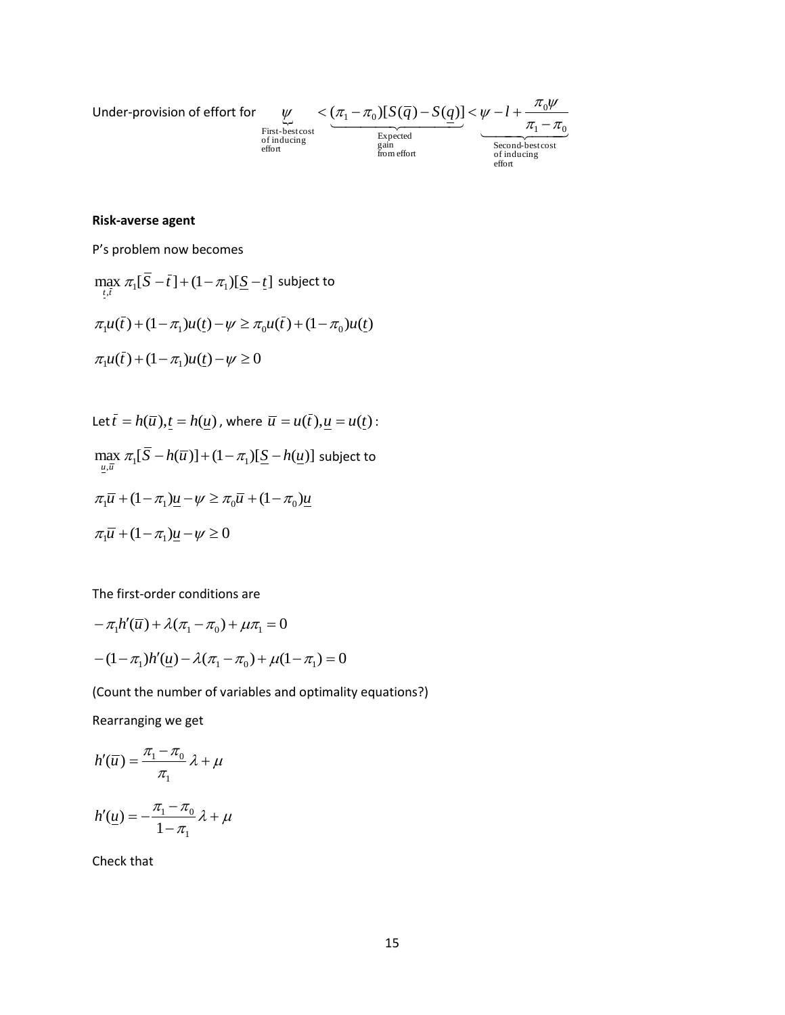Under-provision of effort for 
$$
\underbrace{\psi}_{\text{First-bestcost} \text{estcost}} < \underbrace{(\pi_1 - \pi_0)[S(\overline{q}) - S(\underline{q})]}_{\text{gain}} < \underbrace{\psi - l + \frac{\pi_0 \psi}{\pi_1 - \pi_0}}_{\text{Second-bestcost} \text{of inducing}}
$$

\nSecond-bestcost of inducing effort

# **Risk-averse agent**

P's problem now becomes

$$
\max_{\tau, i} \pi_1[\overline{S} - \overline{t}] + (1 - \pi_1)[\underline{S} - \underline{t}] \text{ subject to}
$$
  

$$
\pi_1 u(\overline{t}) + (1 - \pi_1)u(\underline{t}) - \psi \ge \pi_0 u(\overline{t}) + (1 - \pi_0)u(\underline{t})
$$
  

$$
\pi_1 u(\overline{t}) + (1 - \pi_1)u(\underline{t}) - \psi \ge 0
$$

Let 
$$
\overline{t} = h(\overline{u}), t = h(\underline{u})
$$
, where  $\overline{u} = u(\overline{t}), \underline{u} = u(t)$ :  
\n
$$
\max_{\underline{u}, \overline{u}} \pi_1[\overline{S} - h(\overline{u})] + (1 - \pi_1)[\underline{S} - h(\underline{u})]
$$
 subject to  
\n
$$
\pi_1\overline{u} + (1 - \pi_1)\underline{u} - \psi \ge \pi_0\overline{u} + (1 - \pi_0)\underline{u}
$$
\n
$$
\pi_1\overline{u} + (1 - \pi_1)\underline{u} - \psi \ge 0
$$

The first-order conditions are

$$
-\pi_1 h'(\bar{u}) + \lambda(\pi_1 - \pi_0) + \mu \pi_1 = 0
$$
  
-(1 - \pi\_1)h'(\underline{u}) - \lambda(\pi\_1 - \pi\_0) + \mu(1 - \pi\_1) = 0

(Count the number of variables and optimality equations?)

Rearranging we get

$$
h'(\overline{u}) = \frac{\pi_1 - \pi_0}{\pi_1} \lambda + \mu
$$

$$
h'(\underline{u}) = -\frac{\pi_1 - \pi_0}{1 - \pi_1} \lambda + \mu
$$

Check that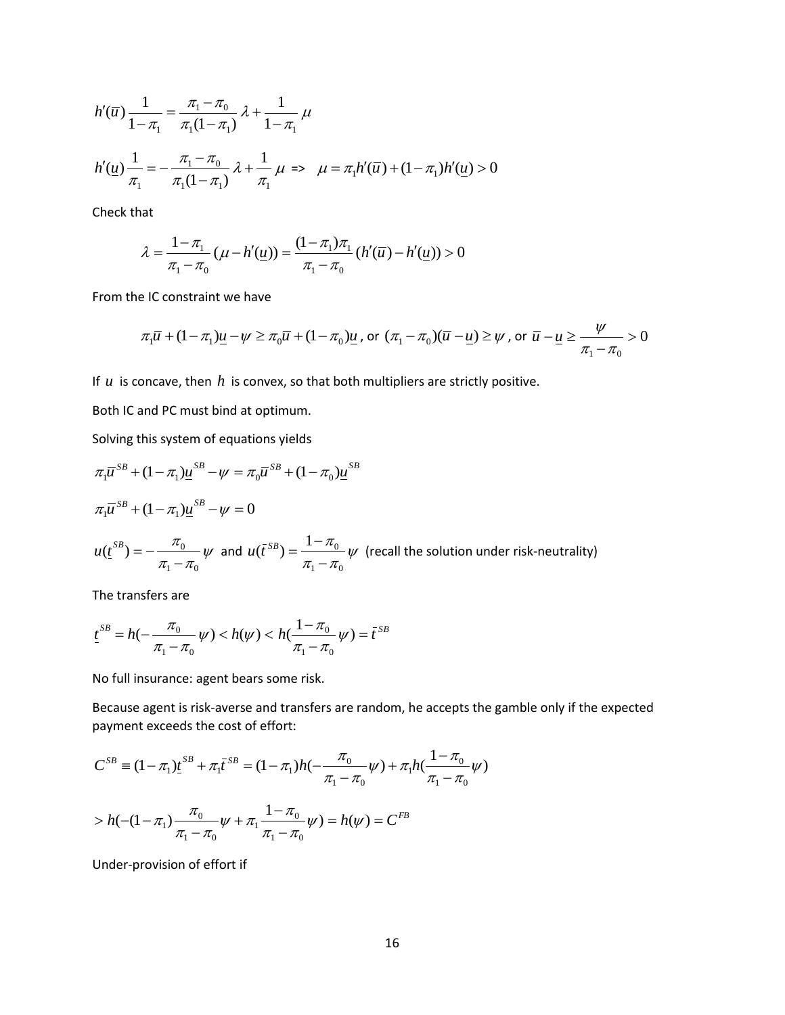$$
h'(\overline{u})\frac{1}{1-\pi_1} = \frac{\pi_1 - \pi_0}{\pi_1(1-\pi_1)}\lambda + \frac{1}{1-\pi_1}\mu
$$
  

$$
h'(\underline{u})\frac{1}{\pi_1} = -\frac{\pi_1 - \pi_0}{\pi_1(1-\pi_1)}\lambda + \frac{1}{\pi_1}\mu \implies \mu = \pi_1 h'(\overline{u}) + (1-\pi_1)h'(\underline{u}) > 0
$$

Check that

$$
\lambda = \frac{1 - \pi_1}{\pi_1 - \pi_0} (\mu - h'(\underline{u})) = \frac{(1 - \pi_1)\pi_1}{\pi_1 - \pi_0} (h'(\overline{u}) - h'(\underline{u})) > 0
$$

From the IC constraint we have

$$
\pi_1 \overline{u} + (1 - \pi_1)\underline{u} - \psi \ge \pi_0 \overline{u} + (1 - \pi_0)\underline{u}
$$
, or  $(\pi_1 - \pi_0)(\overline{u} - \underline{u}) \ge \psi$ , or  $\overline{u} - \underline{u} \ge \frac{\psi}{\pi_1 - \pi_0} > 0$ 

If  $u$  is concave, then  $h$  is convex, so that both multipliers are strictly positive.

Both IC and PC must bind at optimum.

Solving this system of equations yields

$$
\pi_1 \overline{u}^{SB} + (1 - \pi_1) \underline{u}^{SB} - \psi = \pi_0 \overline{u}^{SB} + (1 - \pi_0) \underline{u}^{SB}
$$
  
\n
$$
\pi_1 \overline{u}^{SB} + (1 - \pi_1) \underline{u}^{SB} - \psi = 0
$$
  
\n
$$
u(\underline{t}^{SB}) = -\frac{\pi_0}{\pi_1 - \pi_0} \psi \text{ and } u(\overline{t}^{SB}) = \frac{1 - \pi_0}{\pi_1 - \pi_0} \psi \text{ (recall the solution under risk-neutrality)}
$$

 $1 \quad v_0$ 

-

The transfers are

 $1 \quad v_0$ 

-

$$
\underline{t}^{SB} = h(-\frac{\pi_0}{\pi_1 - \pi_0} \psi) < h(\psi) < h(\frac{1 - \pi_0}{\pi_1 - \pi_0} \psi) = \overline{t}^{SB}
$$

No full insurance: agent bears some risk.

Because agent is risk-averse and transfers are random, he accepts the gamble only if the expected payment exceeds the cost of effort:

$$
C^{SB} = (1 - \pi_1) \underline{t}^{SB} + \pi_1 \overline{t}^{SB} = (1 - \pi_1) h(-\frac{\pi_0}{\pi_1 - \pi_0} \psi) + \pi_1 h(\frac{1 - \pi_0}{\pi_1 - \pi_0} \psi)
$$
  
>  $h(- (1 - \pi_1) \frac{\pi_0}{\pi_1 - \pi_0} \psi + \pi_1 \frac{1 - \pi_0}{\pi_1 - \pi_0} \psi) = h(\psi) = C^{FB}$ 

 $1 - \mu_0$ 

Under-provision of effort if

 $1 - \mu_0$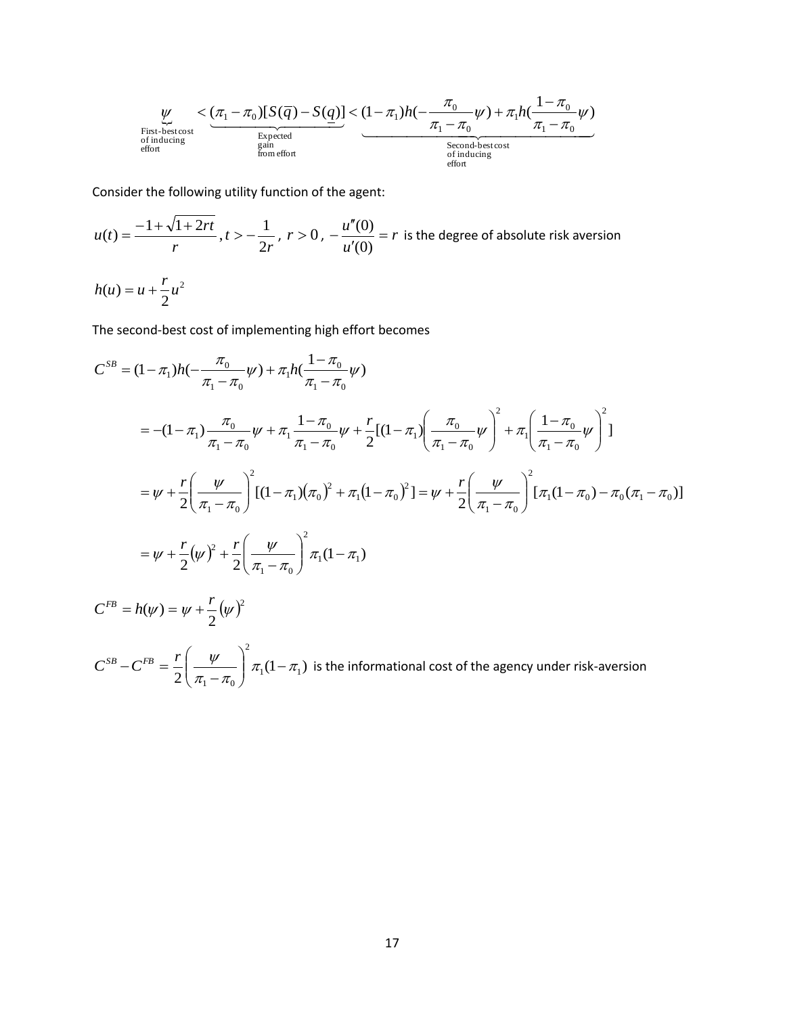$$
\underbrace{\psi}_{\text{First-best}} < \underbrace{(\pi_1 - \pi_0)[S(\overline{q}) - S(\underline{q})]}_{\text{Expected}} < (1 - \pi_1)h(-\frac{\pi_0}{\pi_1 - \pi_0}\psi) + \pi_1h(\frac{1 - \pi_0}{\pi_1 - \pi_0}\psi)
$$
\n
$$
\underbrace{\text{First-best costs}}_{\text{of inducing}} \underbrace{\text{Second-best cost}}_{\text{of inducing}}
$$

Consider the following utility function of the agent:

2

 $C^{FB} = h(\psi) = \psi + \frac{r}{2}(\psi)^2$ 

 $\psi + \frac{r}{2}(\psi$ 

$$
u(t) = \frac{-1 + \sqrt{1 + 2rt}}{r}, t > -\frac{1}{2r}, r > 0, -\frac{u''(0)}{u'(0)} = r
$$
 is the degree of absolute risk aversion  

$$
h(u) = u + \frac{r}{2}u^2
$$

The second-best cost of implementing high effort becomes

$$
C^{SB} = (1 - \pi_1)h(-\frac{\pi_0}{\pi_1 - \pi_0}\psi) + \pi_1h(\frac{1 - \pi_0}{\pi_1 - \pi_0}\psi)
$$
  
= -(1 - \pi\_1)\frac{\pi\_0}{\pi\_1 - \pi\_0}\psi + \pi\_1\frac{1 - \pi\_0}{\pi\_1 - \pi\_0}\psi + \frac{r}{2}[(1 - \pi\_1)\left(\frac{\pi\_0}{\pi\_1 - \pi\_0}\psi\right)^2 + \pi\_1\left(\frac{1 - \pi\_0}{\pi\_1 - \pi\_0}\psi\right)^2]  
= \psi + \frac{r}{2}\left(\frac{\psi}{\pi\_1 - \pi\_0}\right)^2[(1 - \pi\_1)(\pi\_0)^2 + \pi\_1(1 - \pi\_0)^2] = \psi + \frac{r}{2}\left(\frac{\psi}{\pi\_1 - \pi\_0}\right)^2[\pi\_1(1 - \pi\_0) - \pi\_0(\pi\_1 - \pi\_0)]  
= \psi + \frac{r}{2}(\psi)^2 + \frac{r}{2}\left(\frac{\psi}{\pi\_1 - \pi\_0}\right)^2\pi\_1(1 - \pi\_1)

 $C^{SB} - C^{FB} = \frac{r}{2} \frac{\psi}{\psi} \frac{\pi_1(1-\pi_1)}{\psi}$  $\frac{1}{2} \left( \frac{\pi}{\pi_1 - \pi_0} \right)^{\mu_1 (1 - \mu_1)}$ 2  $1 - \mu_0$  $\pi$ ,  $(1 - \pi)$  $\pi$ . —  $\pi$  $\frac{\psi}{1-\pi}$   $\pi_1(1-\$  $\bigg)$  $\backslash$  $\overline{\phantom{a}}$  $\setminus$ ſ - $\frac{r}{s}$  $\left(\frac{\psi}{s-1}\right)^{s} \pi(1-\pi)$  is the informational cost of the agency under risk-aversion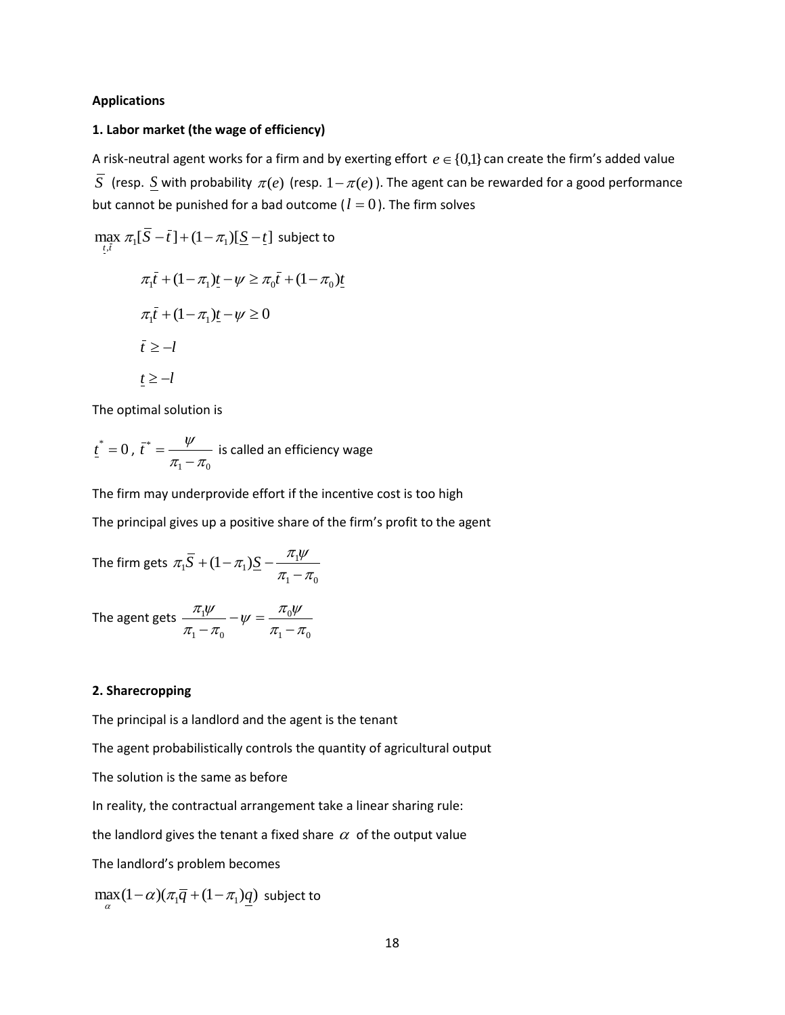#### **Applications**

#### **1. Labor market (the wage of efficiency)**

A risk-neutral agent works for a firm and by exerting effort  $e \in \{0,1\}$  can create the firm's added value  $\overline{S}$  (resp.  $\underline{S}$  with probability  $\pi(e)$  (resp.  $1-\pi(e)$ ). The agent can be rewarded for a good performance but cannot be punished for a bad outcome ( $l = 0$ ). The firm solves

$$
\max_{\underline{t}, \overline{t}} \pi_1[\overline{S} - \overline{t}] + (1 - \pi_1)[\underline{S} - \underline{t}] \text{ subject to}
$$
\n
$$
\pi_1 \overline{t} + (1 - \pi_1)\underline{t} - \psi \ge \pi_0 \overline{t} + (1 - \pi_0)\underline{t}
$$
\n
$$
\pi_1 \overline{t} + (1 - \pi_1)\underline{t} - \psi \ge 0
$$
\n
$$
\overline{t} \ge -l
$$
\n
$$
t \ge -l
$$

The optimal solution is

 $t^* = 0$ ,  $1 - \mu_0$ \*  $\pi - \pi$  $\psi$ - $\bar{t}^* = \frac{\psi}{\psi}$  is called an efficiency wage

The firm may underprovide effort if the incentive cost is too high

The principal gives up a positive share of the firm's profit to the agent

The firm gets  $1 - \mu_0$  $\frac{1}{2} \cdot \overline{S} + (1 - \pi_1) \underline{S} - \frac{\pi_1 \varphi}{\pi_1 - \pi_2}$  $\pi_1 \overline{S} + (1 - \pi_1) \underline{S} - \frac{\pi_1 \psi}{\pi_1 - \pi_2}$  $S + (1 - \pi_1)S -$ 

The agent gets  $1 - \mu_0$ 0  $1 - \mu_0$ 1  $\pi - \pi$  $\frac{\pi_{\rm i}\psi}{\pi_{\rm i}-\pi_{\rm o}}-\psi=\frac{\pi_{\rm o}\psi}{\pi_{\rm i}-\pi_{\rm o}}$  $\pi_{1}\psi$  $\overline{a}$  $-\psi =$  $\overline{a}$ 

### **2. Sharecropping**

The principal is a landlord and the agent is the tenant

The agent probabilistically controls the quantity of agricultural output

The solution is the same as before

In reality, the contractual arrangement take a linear sharing rule:

the landlord gives the tenant a fixed share  $\alpha\,$  of the output value

The landlord's problem becomes

 $\max_{\alpha} (1 - \alpha) (\pi_1 \overline{q} + (1 - \pi_1) \underline{q})$  subject to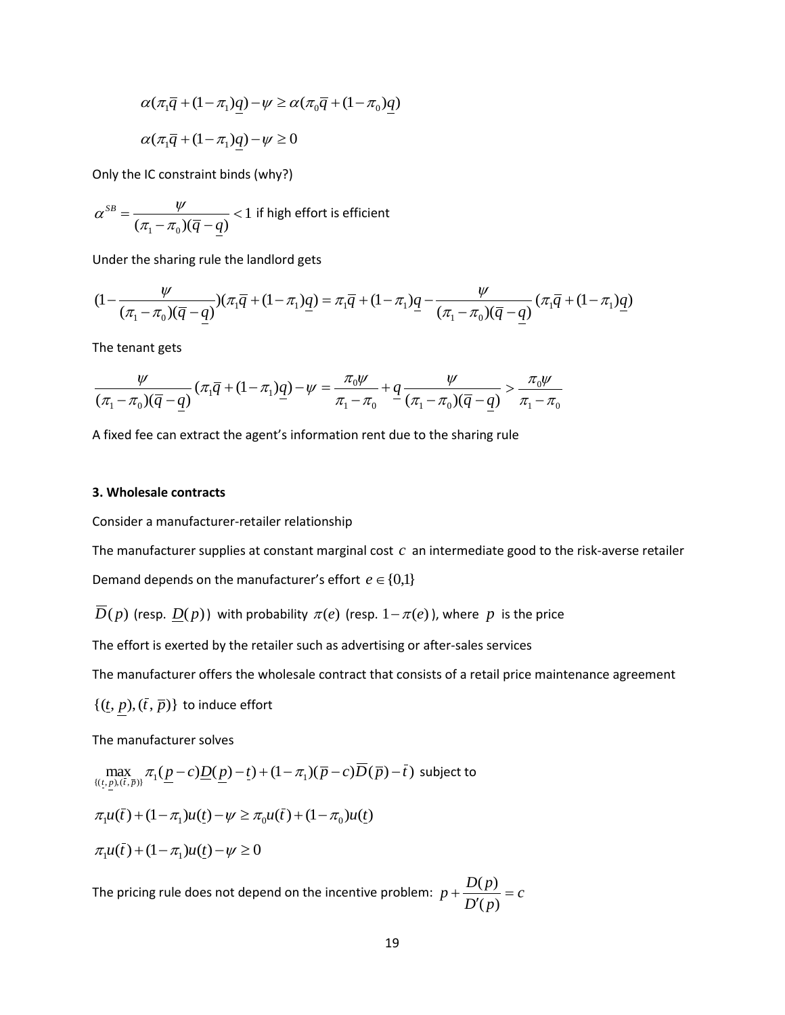$$
\alpha(\pi_1 \overline{q} + (1 - \pi_1)\underline{q}) - \psi \ge \alpha(\pi_0 \overline{q} + (1 - \pi_0)\underline{q})
$$
  

$$
\alpha(\pi_1 \overline{q} + (1 - \pi_1)\underline{q}) - \psi \ge 0
$$

Only the IC constraint binds (why?)

$$
\alpha^{SB} = \frac{\psi}{(\pi_1 - \pi_0)(\overline{q} - \underline{q})} < 1
$$
 if high effort is efficient

Under the sharing rule the landlord gets

$$
(1 - \frac{\psi}{(\pi_1 - \pi_0)(\overline{q} - \underline{q})})(\pi_1 \overline{q} + (1 - \pi_1)\underline{q}) = \pi_1 \overline{q} + (1 - \pi_1)\underline{q} - \frac{\psi}{(\pi_1 - \pi_0)(\overline{q} - \underline{q})}(\pi_1 \overline{q} + (1 - \pi_1)\underline{q})
$$

The tenant gets

$$
\frac{\psi}{(\pi_1-\pi_0)(\overline{q}-\underline{q})}(\pi_1\overline{q}+(1-\pi_1)\underline{q})-\psi=\frac{\pi_0\psi}{\pi_1-\pi_0}+\underline{q}\frac{\psi}{(\pi_1-\pi_0)(\overline{q}-\underline{q})}>\frac{\pi_0\psi}{\pi_1-\pi_0}
$$

A fixed fee can extract the agent's information rent due to the sharing rule

### **3. Wholesale contracts**

Consider a manufacturer-retailer relationship

The manufacturer supplies at constant marginal cost  $c$  an intermediate good to the risk-averse retailer

Demand depends on the manufacturer's effort  $e \in \{0,1\}$ 

 $\overline{D}(p)$  (resp.  $\underline{D}(p)$ ) with probability  $\pi(e)$  (resp.  $1-\pi(e)$ ), where  $p$  is the price

The effort is exerted by the retailer such as advertising or after-sales services

The manufacturer offers the wholesale contract that consists of a retail price maintenance agreement

 $\{(\underline{t}, p),(\overline{t}, \overline{p})\}$  to induce effort

The manufacturer solves

$$
\alpha(\pi_i \overline{q} + (1 - \pi_i)q) - \psi \ge \alpha(\pi_0 \overline{q} + (1 - \pi_0)q)
$$
  
\n
$$
\alpha(\pi_i \overline{q} + (1 - \pi_i)q) - \psi \ge 0
$$
  
\nOnly the IC constraint binds (why?)  
\n
$$
\alpha^{SB} = \frac{\psi}{(\pi_1 - \pi_0)(\overline{q} - q)} < 1 \text{ if high effort is efficient}
$$
  
\nUnder the sharing rule the landeded gets  
\n
$$
(1 - \frac{\psi}{(\pi_1 - \pi_0)(\overline{q} - q)}) (\pi_i \overline{q} + (1 - \pi_i)q) = \pi_i \overline{q} + (1 - \pi_i)q - \frac{1}{(\pi_1 - \pi_0)(\overline{q} - q)}) (\pi_i \overline{q} + (1 - \pi_i)q) = \pi_i \overline{q} + (1 - \pi_i)q - \frac{1}{(\pi_1 - \pi_0)(\overline{q} - q)}) (\pi_i \overline{q} + (1 - \pi_i)q) - \psi = \frac{\pi_0 \psi}{\pi_1 - \pi_0} + \frac{\psi}{(\pi_1 - \pi_0)(\overline{q} - q)}) (\pi_i \overline{q} + (1 - \pi_i)q) - \psi = \frac{\pi_0 \psi}{\pi_1 - \pi_0} + \frac{\psi}{(\pi_1 - \pi_0)(\overline{q} - q)})
$$
  
\nA fixed fee can extract the agent's information rent due to the sharing.  
\n3. Whole sale contracts  
\nConsider a manufacturer-srelative relationship  
\nThe manufacturer supplies at constant marginal cost c an intermediate  
\nDomain degends on the manufacturer's effort  $e \in \{0,1\}$   
\n $\overline{D}(p)$  (resp.  $D(p)$ ) with probability  $\pi(e)$  (resp.  $1 - \pi(e)$ ), where  
\nThe effort is exerted by the retailer such as advertising or after-sales  
\nThe manufacturer solves  
\n
$$
\max_{\{(i, p), (i, \overline{p})\}} \pi_i (p - c) \underline{D}(p) - t) + (1 - \pi_1)(\overline{p} - c) \overline{D}(\overline{p}) - \overline{t})
$$
 subject to  
\n $\pi_i u(\overline{t}) + (1 - \pi_1)u(\underline{t}) - \psi \ge \pi_0 u(\overline{t}) + (1 - \pi_0)u(\underline{t})$ <

The pricing rule does not depend on the incentive problem:  $p + \frac{D(p)}{R} = c$ *D'*(*p*  $p + \frac{D(p)}{D(p)} =$  $\overline{\phantom{a}}$  $\ddot{}$  $(p)$  $(p)$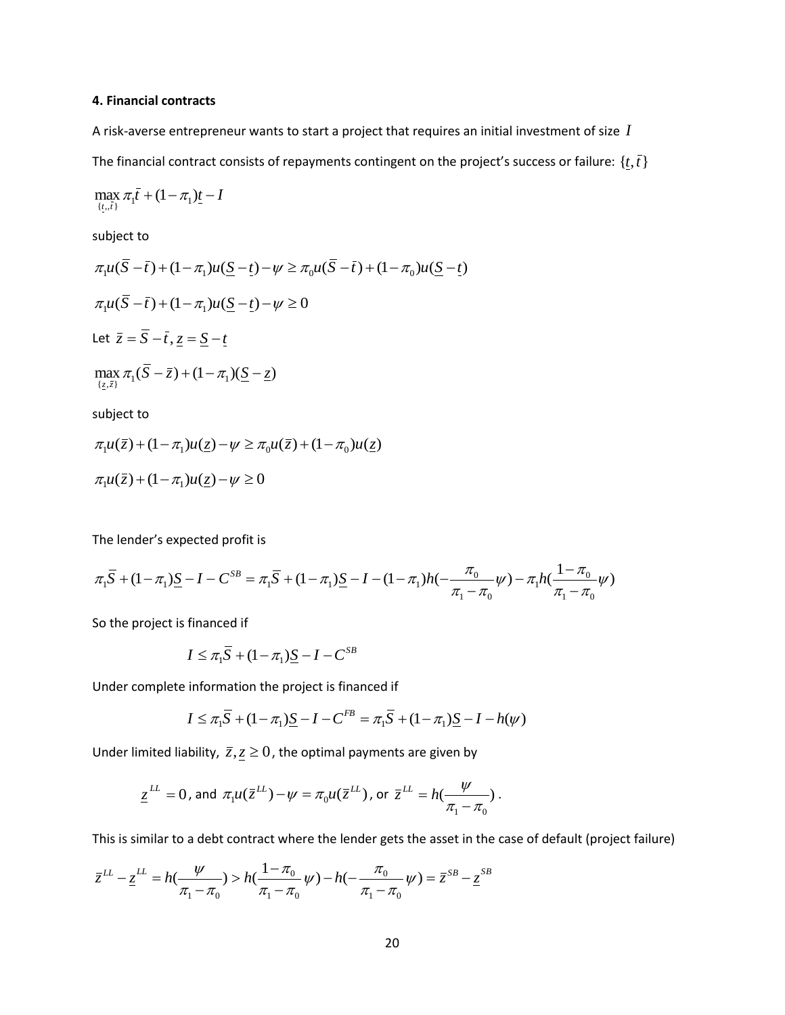### **4. Financial contracts**

A risk-averse entrepreneur wants to start a project that requires an initial investment of size *I* The financial contract consists of repayments contingent on the project's success or failure:  $\{t,\bar{t}\}$ 

$$
\max_{\{t_0,\bar{t}\}} \pi_1 \bar{t} + (1 - \pi_1)\underline{t} - I
$$

subject to

$$
\pi_1 u(\overline{S} - \overline{t}) + (1 - \pi_1)u(\underline{S} - \underline{t}) - \psi \ge \pi_0 u(\overline{S} - \overline{t}) + (1 - \pi_0)u(\underline{S} - \underline{t})
$$
  

$$
\pi_1 u(\overline{S} - \overline{t}) + (1 - \pi_1)u(\underline{S} - \underline{t}) - \psi \ge 0
$$
  
Let  $\overline{z} = \overline{S} - \overline{t}, \underline{z} = \underline{S} - \underline{t}$   

$$
\max_{\{z, \overline{z}\}} \pi_1 (\overline{S} - \overline{z}) + (1 - \pi_1)(\underline{S} - \underline{z})
$$

subject to

$$
\pi_1 u(\overline{z}) + (1 - \pi_1)u(\underline{z}) - \psi \ge \pi_0 u(\overline{z}) + (1 - \pi_0)u(\underline{z})
$$
  

$$
\pi_1 u(\overline{z}) + (1 - \pi_1)u(\underline{z}) - \psi \ge 0
$$

The lender's expected profit is

$$
\pi_1 \overline{S} + (1 - \pi_1) \underline{S} - I - C^{SB} = \pi_1 \overline{S} + (1 - \pi_1) \underline{S} - I - (1 - \pi_1)h(-\frac{\pi_0}{\pi_1 - \pi_0} \psi) - \pi_1 h(\frac{1 - \pi_0}{\pi_1 - \pi_0} \psi)
$$

So the project is financed if

$$
I \leq \pi_1 \overline{S} + (1 - \pi_1) \underline{S} - I - C^{SB}
$$

Under complete information the project is financed if

$$
I \leq \pi_1 \overline{S} + (1 - \pi_1) \underline{S} - I - C^{FB} = \pi_1 \overline{S} + (1 - \pi_1) \underline{S} - I - h(\psi)
$$

Under limited liability,  $\bar{z}, \underline{z} \geq 0$ , the optimal payments are given by

$$
\underline{z}^{LL} = 0 \text{, and } \pi_1 u(\overline{z}^{LL}) - \psi = \pi_0 u(\overline{z}^{LL}) \text{, or } \overline{z}^{LL} = h(\frac{\psi}{\pi_1 - \pi_0}).
$$

This is similar to a debt contract where the lender gets the asset in the case of default (project failure)

$$
\overline{z}^{LL} - \underline{z}^{LL} = h(\frac{\psi}{\pi_1 - \pi_0}) > h(\frac{1 - \pi_0}{\pi_1 - \pi_0}\psi) - h(-\frac{\pi_0}{\pi_1 - \pi_0}\psi) = \overline{z}^{SB} - \underline{z}^{SB}
$$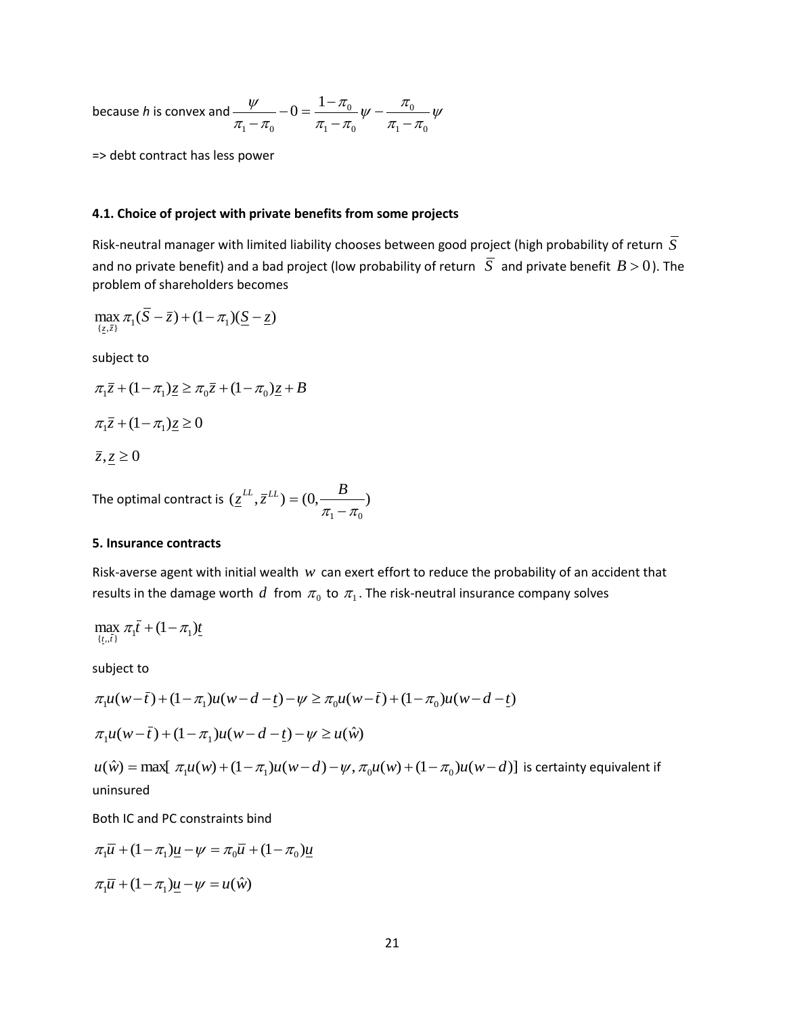because *h* is convex and  $\frac{\gamma}{\pi - \pi_0} - 0 = \frac{1 - \mu_0}{\pi - \pi_0} \psi - \frac{\mu_0}{\pi - \pi_0} \psi$  $\frac{1-\pi}{\pi}-\frac{\pi}{\pi}$   $\psi-\frac{\pi}{\pi}$ π  $\pi$ .  $-\pi$  $\psi$  $1 - \mu_0$ 0  $1 - \mu_0$ 0  $1 - \mu_0$  $0 = \frac{1}{1}$  $\overline{a}$  $\overline{a}$ - $-0 = \frac{1-}{1}$ -

=> debt contract has less power

#### **4.1. Choice of project with private benefits from some projects**

Risk-neutral manager with limited liability chooses between good project (high probability of return *S* and no private benefit) and a bad project (low probability of return  $|\overline{S}|$  and private benefit  $B > 0$ ). The problem of shareholders becomes

$$
\max_{\{\underline{z},\overline{z}\}} \pi_1(\overline{S}-\overline{z}) + (1-\pi_1)(\underline{S}-\underline{z})
$$

subject to

$$
\pi_1 \overline{z} + (1 - \pi_1) \underline{z} \ge \pi_0 \overline{z} + (1 - \pi_0) \underline{z} + B
$$
  

$$
\pi_1 \overline{z} + (1 - \pi_1) \underline{z} \ge 0
$$

 $\overline{z}, \underline{z} \geq 0$ 

The optimal contract is  $(\underline{z}^{LL}, \overline{z}^{LL}) = (0, \underline{\hspace{1cm}}^{\mathbf{D}})$  $\pi$ <sub>1</sub> –  $\pi$ <sub>0</sub>  $\underline{z}^{LL}, \overline{z}^{LL}$ ) = (0,  $\underline{\hspace{1em}}$  *B* 

### **5. Insurance contracts**

Risk-averse agent with initial wealth  $w$  can exert effort to reduce the probability of an accident that results in the damage worth  $d$  from  $\pi_0$  to  $\pi_1$ . The risk-neutral insurance company solves

$$
\max_{\{t,\bar{t}\}} \pi_1 \bar{t} + (1 - \pi_1) \underline{t}
$$

subject to

$$
\pi_1 u(w - \bar{t}) + (1 - \pi_1)u(w - d - \underline{t}) - \psi \ge \pi_0 u(w - \bar{t}) + (1 - \pi_0)u(w - d - \underline{t})
$$
  

$$
\pi_1 u(w - \bar{t}) + (1 - \pi_1)u(w - d - \underline{t}) - \psi \ge u(\hat{w})
$$

 $u(\hat{w}) = \max[\ \pi_1 u(w) + (1 - \pi_1) u(w - d) - \psi, \pi_0 u(w) + (1 - \pi_0) u(w - d)]$  is certainty equivalent if uninsured

Both IC and PC constraints bind

$$
\pi_1 \overline{u} + (1 - \pi_1)\underline{u} - \psi = \pi_0 \overline{u} + (1 - \pi_0)\underline{u}
$$

$$
\pi_1 \overline{u} + (1 - \pi_1)\underline{u} - \psi = u(\hat{w})
$$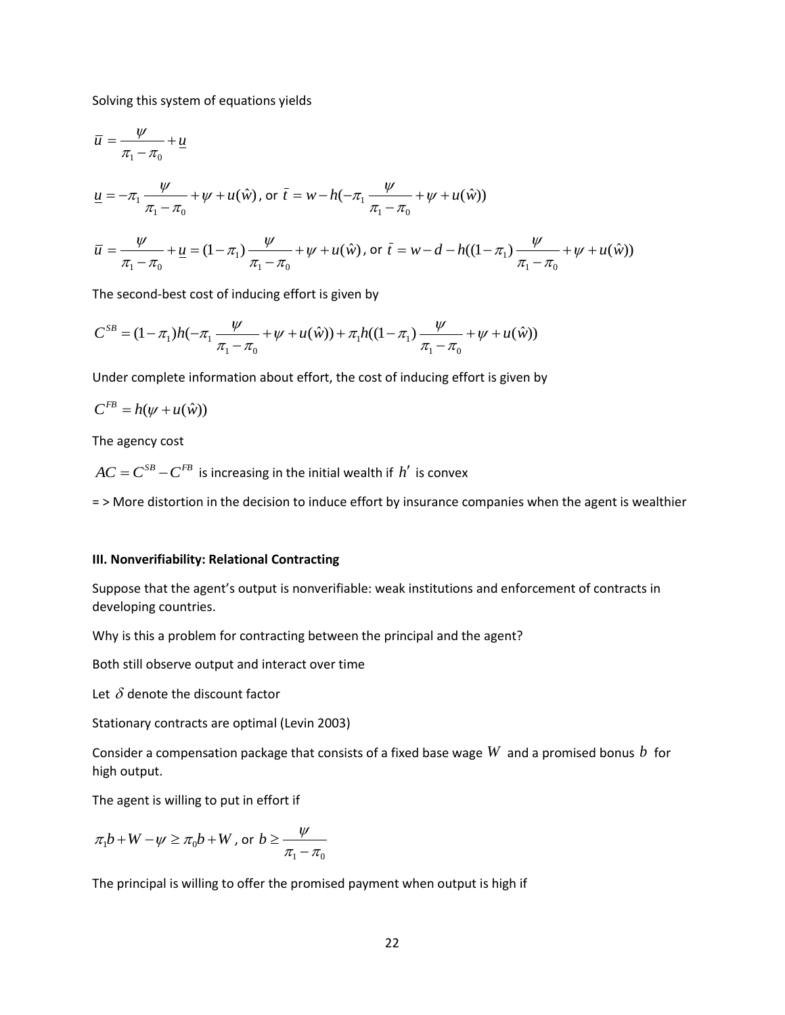Solving this system of equations yields

$$
\overline{u} = \frac{\psi}{\pi_1 - \pi_0} + \underline{u}
$$
\n
$$
\underline{u} = -\pi_1 \frac{\psi}{\pi_1 - \pi_0} + \psi + u(\hat{w}), \text{ or } \overline{t} = w - h(-\pi_1 \frac{\psi}{\pi_1 - \pi_0} + \psi + u(\hat{w}))
$$
\n
$$
\overline{u} = \frac{\psi}{\pi_1 - \pi_0} + \underline{u} = (1 - \pi_1) \frac{\psi}{\pi_1 - \pi_0} + \psi + u(\hat{w}), \text{ or } \overline{t} = w - d - h((1 - \pi_1) \frac{\psi}{\pi_1 - \pi_0} + \psi + u(\hat{w}))
$$

The second-best cost of inducing effort is given by

$$
C^{SB} = (1 - \pi_1)h(-\pi_1 \frac{\psi}{\pi_1 - \pi_0} + \psi + u(\hat{w})) + \pi_1 h((1 - \pi_1) \frac{\psi}{\pi_1 - \pi_0} + \psi + u(\hat{w}))
$$

Under complete information about effort, the cost of inducing effort is given by

$$
C^{FB} = h(\psi + u(\hat{w}))
$$

The agency cost

 $AC = C^{SB} - C^{FB}$  is increasing in the initial wealth if  $h'$  is convex

= > More distortion in the decision to induce effort by insurance companies when the agent is wealthier

#### **III. Nonverifiability: Relational Contracting**

Suppose that the agent's output is nonverifiable: weak institutions and enforcement of contracts in developing countries.

Why is this a problem for contracting between the principal and the agent?

Both still observe output and interact over time

Let  $\delta$  denote the discount factor

Stationary contracts are optimal (Levin 2003)

Consider a compensation package that consists of a fixed base wage  $W$  and a promised bonus  $b$  for high output.

The agent is willing to put in effort if

$$
\pi_1 b + W - \psi \ge \pi_0 b + W \text{, or } b \ge \frac{\psi}{\pi_1 - \pi_0}
$$

The principal is willing to offer the promised payment when output is high if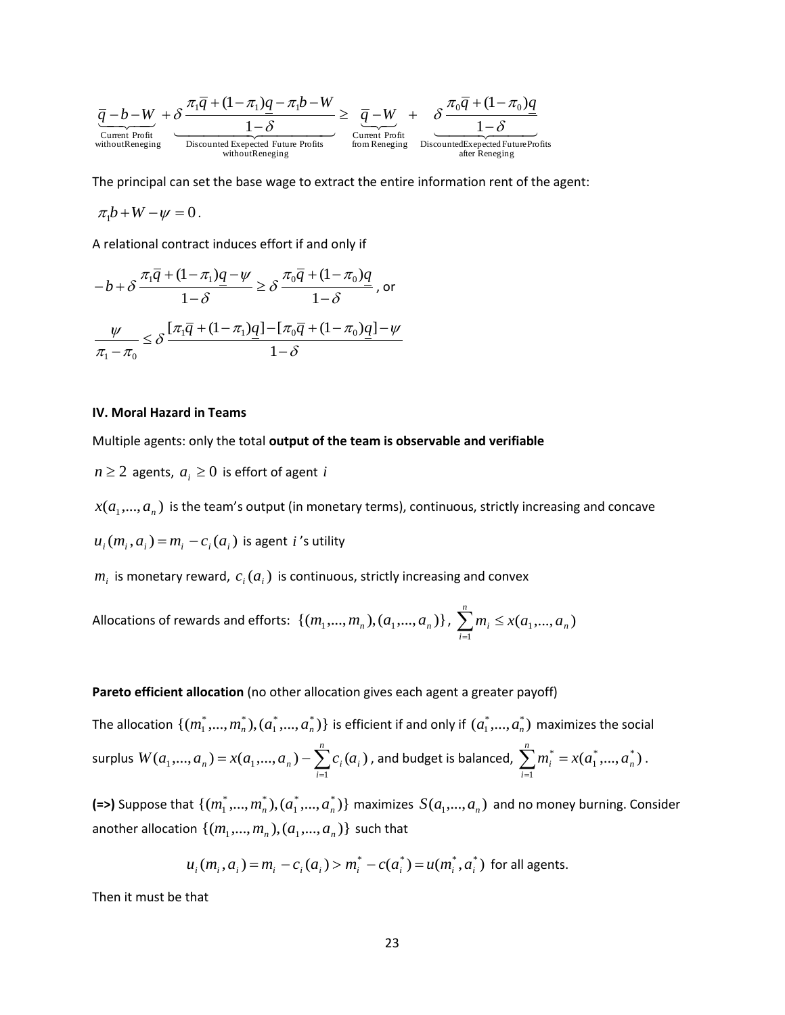$$
\underbrace{\overline{q}-b-W}_{\substack{\text{Current Profit}\\\text{withoutRereging}}}+\underbrace{\delta \frac{\pi_{\text{I}} \overline{q}+(1-\pi_{\text{I}})q-\pi_{\text{I}} b-W}_{1-\delta}}_{\substack{\text{Discounted Expected Further Profit}\\\text{withoutRereging}}} \ge \underbrace{\overline{q}-W}_{\substack{\text{Current Profit}\\\text{from Reneging}}}+\underbrace{\delta \frac{\pi_{\text{0}} \overline{q}+(1-\pi_{\text{0}})q}{1-\delta}}_{\substack{\text{DiscountedExpected Further Profits}\\\text{after Reneging}}} \\
$$

The principal can set the base wage to extract the entire information rent of the agent:

 $\pi_1 b + W - \psi = 0$ .

A relational contract induces effort if and only if

$$
-b + \delta \frac{\pi_1 \overline{q} + (1 - \pi_1) \underline{q} - \psi}{1 - \delta} \ge \delta \frac{\pi_0 \overline{q} + (1 - \pi_0) \underline{q}}{1 - \delta}, \text{ or}
$$

$$
\frac{\psi}{\pi_1 - \pi_0} \le \delta \frac{[\pi_1 \overline{q} + (1 - \pi_1) \underline{q}] - [\pi_0 \overline{q} + (1 - \pi_0) \underline{q}] - \psi}{1 - \delta}
$$

#### **IV. Moral Hazard in Teams**

Multiple agents: only the total **output of the team is observable and verifiable**

 $n \geq 2$  agents,  $a_i \geq 0$  is effort of agent *i* 

 $x(a_1,..., a_n)$  is the team's output (in monetary terms), continuous, strictly increasing and concave

 $u_i(m_i, a_i) = m_i - c_i(a_i)$  is agent *i*'s utility

 $m_i$  is monetary reward,  $c_i(a_i)$  is continuous, strictly increasing and convex

Allocations of rewards and efforts:  $\{(m_1,...,m_n),(a_1,...,a_n)\}$  ,  $\sum m_i\leq x(a_1,...,a_n)$ 1 *n n*  $\sum_{i=1}^{n} m_i \leq x(a_1,...,a_n)$ 

#### **Pareto efficient allocation** (no other allocation gives each agent a greater payoff)

The allocation  $\{(m_1^*,...,m_n^*),(a_1^*,...,a_n^*)\}$  $m_1^*,...,m_n^*), (a_1^*,...,a_n^*)\}$  is efficient if and only if  $(a_1^*,...,a_n^*)$  maximizes the social surplus  $W(a_1,..., a_n) = x(a_1,..., a_n) - \sum_{i} c_i(a_i)$ 1  $u_1,...,u_n$ ) –  $\lambda(u_1,...,u_n)$  –  $\sum c_i u_i$ *n i*  $W(a_1,..., a_n) = x(a_1,..., a_n) - \sum_{i=1}^{n} c_i(a_i)$  $x=(a_1,...,a_n)-\sum c_i(a_i)$  , and budget is balanced,  $\sum m_i^*=x(a_1^*,...,a_n^*)$ 1 1 \* *n n*  $\sum_{i=1}^{n} m_i^* = x(a_1^*,..., a_n^*)$ -.

**(=>)** Suppose that  $\{(m_1^*,...,m_n^*),(a_1^*,...,a_n^*)\}$  $m_1^*,...,m_n^*), (a_1^*,...,a_n^*)\}$  maximizes  $S(a_1,...,a_n)$  and no money burning. Consider another allocation  $\{(m_1, ..., m_n), (a_1, ..., a_n)\}$  such that

$$
u_i(m_i, a_i) = m_i - c_i(a_i) > m_i^* - c(a_i^*) = u(m_i^*, a_i^*)
$$
 for all agents.

Then it must be that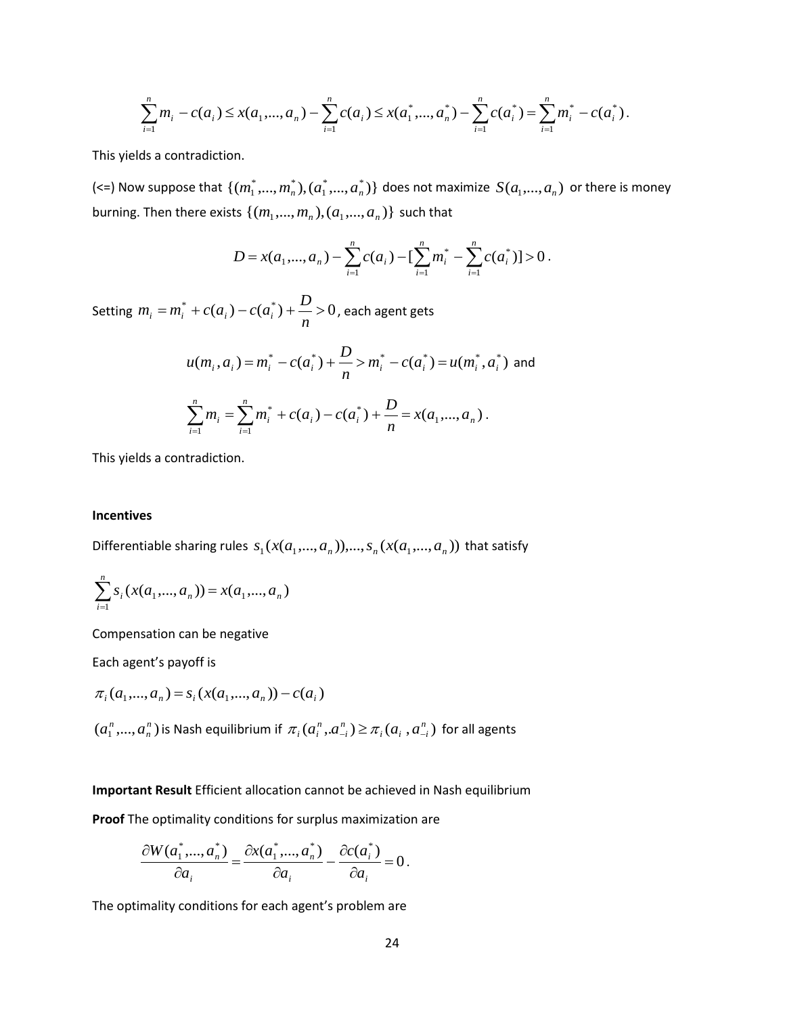$$
\sum_{i=1}^n m_i - c(a_i) \le x(a_1, ..., a_n) - \sum_{i=1}^n c(a_i) \le x(a_1^*, ..., a_n^*) - \sum_{i=1}^n c(a_i^*) = \sum_{i=1}^n m_i^* - c(a_i^*)
$$

This yields a contradiction.

(<=) Now suppose that  $\{(m_1^*,...,m_n^*),(a_1^*,...,a_n^*)\}$  $m^{*}_{1},...,m^{*}_{n}),(a^{*}_{1},...,a^{*}_{n})\}$  does not maximize  $\,(a_{1},...,a_{n})\,$  or there is money  $\mathsf{burning.}$  Then there exists  $\{(m_1, ..., m_n), (a_1, ..., a_n)\}$  such that

$$
D = x(a_1,...,a_n) - \sum_{i=1}^n c(a_i) - \left[\sum_{i=1}^n m_i^* - \sum_{i=1}^n c(a_i^*)\right] > 0.
$$

Setting  $m_i = m_i^* + c(a_i) - c(a_i^*) + \frac{D}{m} > 0$ *n*  $m_i = m_i^* + c(a_i) - c(a_i^*) + \frac{D}{2} > 0$ , each agent gets

$$
u(m_i, a_i) = m_i^* - c(a_i^*) + \frac{D}{n} > m_i^* - c(a_i^*) = u(m_i^*, a_i^*)
$$
 and

$$
\sum_{i=1}^n m_i = \sum_{i=1}^n m_i^* + c(a_i) - c(a_i^*) + \frac{D}{n} = x(a_1, ..., a_n).
$$

This yields a contradiction.

#### **Incentives**

Differentiable sharing rules  $s_1(x(a_1,...,a_n))$ ,...,  $s_n(x(a_1,...,a_n))$  that satisfy

$$
\sum_{i=1}^{n} s_i(x(a_1,...,a_n)) = x(a_1,...,a_n)
$$

Compensation can be negative

Each agent's payoff is

$$
\pi_i(a_1, ..., a_n) = s_i(x(a_1, ..., a_n)) - c(a_i)
$$

 $(a_1^n, ..., a_n^n)$ *n n*  $a_1^n, ..., a_n^n$ ) is Nash equilibrium if  $\pi_i(a_i^n, a_{-i}^n) \geq \pi_i(a_i, a_{-i}^n)$  $\mu_i$   $\mu_i$   $\mu_{-i}$ *n i*  $\pi$ <sub>i</sub> $(a_i^n, a_{-i}^n) \geq \pi$ <sub>i</sub> $(a_i, a_{-i}^n)$  for all agents

### **Important Result** Efficient allocation cannot be achieved in Nash equilibrium

**Proof** The optimality conditions for surplus maximization are

$$
\frac{\partial W(a_1^*,...,a_n^*)}{\partial a_i} = \frac{\partial x(a_1^*,...,a_n^*)}{\partial a_i} - \frac{\partial c(a_i^*)}{\partial a_i} = 0.
$$

The optimality conditions for each agent's problem are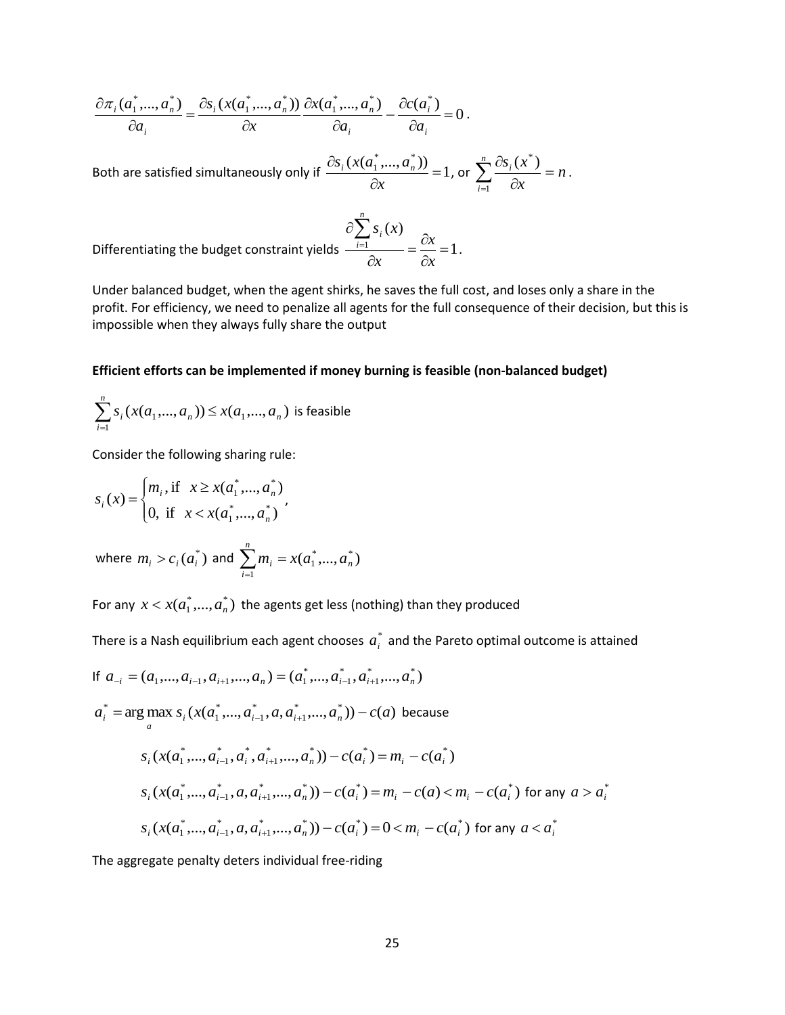$$
\frac{\partial \pi_i(a_1^*,...,a_n^*)}{\partial a_i} = \frac{\partial s_i(x(a_1^*,...,a_n^*))}{\partial x} \frac{\partial x(a_1^*,...,a_n^*)}{\partial a_i} - \frac{\partial c(a_i^*)}{\partial a_i} = 0.
$$

Both are satisfied simultaneously only if  $\frac{S_{i}(x_{i},...,x_{n})}{2}=1$  $\frac{(x(a_1^*,...,a_n^*))}{\cdot}$  =  $\partial$  $\partial$ *x*  $\frac{S_i(x(a_1^*,...,a_n^*))}{S_i}$  = 1, or  $\sum_{n=1}^n \frac{\partial S_i(x^*)}{\partial n}$  = *n x*  $\sum_{i=1}^{n} \partial s_i(x)$ *i*  $\frac{i^{(1)}-i}{2}$  =  $\partial$  $\sum_{i=1}^n \frac{\partial s_i(x^*)}{\partial x}$ .

Differentiating the budget constraint yields  $\frac{1}{2}$  =  $\frac{6x}{3}$  = 1  $(x)$  $\frac{1}{2}$  =  $\frac{U\lambda}{2}$  =  $\partial$  $=\frac{\partial}{\partial x}$  $\partial$  $\partial\sum_{i=1}$ *x x x s x n i i*

Under balanced budget, when the agent shirks, he saves the full cost, and loses only a share in the profit. For efficiency, we need to penalize all agents for the full consequence of their decision, but this is impossible when they always fully share the output

.

#### **Efficient efforts can be implemented if money burning is feasible (non-balanced budget)**

$$
\sum_{i=1}^{n} s_i(x(a_1,...,a_n)) \le x(a_1,...,a_n)
$$
 is feasible

Consider the following sharing rule:

$$
S_i(x) = \begin{cases} m_i, \text{if } x \ge x(a_1^*,..., a_n^*) \\ 0, \text{if } x < x(a_1^*,..., a_n^*) \end{cases}
$$

where  $m_i > c_i(a_i^*)$  and  $\sum m_i = x(a_1^*,...,a_n^*)$ 1 1 *n n*  $\sum_{i=1}^{n} m_i = x(a_1^*,..., a_n)$  $=$ 

For any  $x < x(a_1^*,...,a_n^*)$  the agents get less (nothing) than they produced

There is a Nash equilibrium each agent chooses  $a_i^*$  and the Pareto optimal outcome is attained

If 
$$
a_{-i} = (a_1, ..., a_{i-1}, a_{i+1}, ..., a_n) = (a_1^*, ..., a_{i-1}^*, a_{i+1}^*, ..., a_n^*)
$$
  
\n $a_i^* = \arg \max_{a} s_i (x(a_1^*, ..., a_{i-1}^*, a, a_{i+1}^*, ..., a_n^*)) - c(a)$  because  
\n $s_i (x(a_1^*, ..., a_{i-1}^*, a_i^*, a_{i+1}^*, ..., a_n^*)) - c(a_i^*) = m_i - c(a_i^*)$   
\n $s_i (x(a_1^*, ..., a_{i-1}^*, a, a_{i+1}^*, ..., a_n^*)) - c(a_i^*) = m_i - c(a) < m_i - c(a_i^*)$  for any  $a > a_i^*$   
\n $s_i (x(a_1^*, ..., a_{i-1}^*, a, a_{i+1}^*, ..., a_n^*)) - c(a_i^*) = 0 < m_i - c(a_i^*)$  for any  $a < a_i^*$ 

The aggregate penalty deters individual free-riding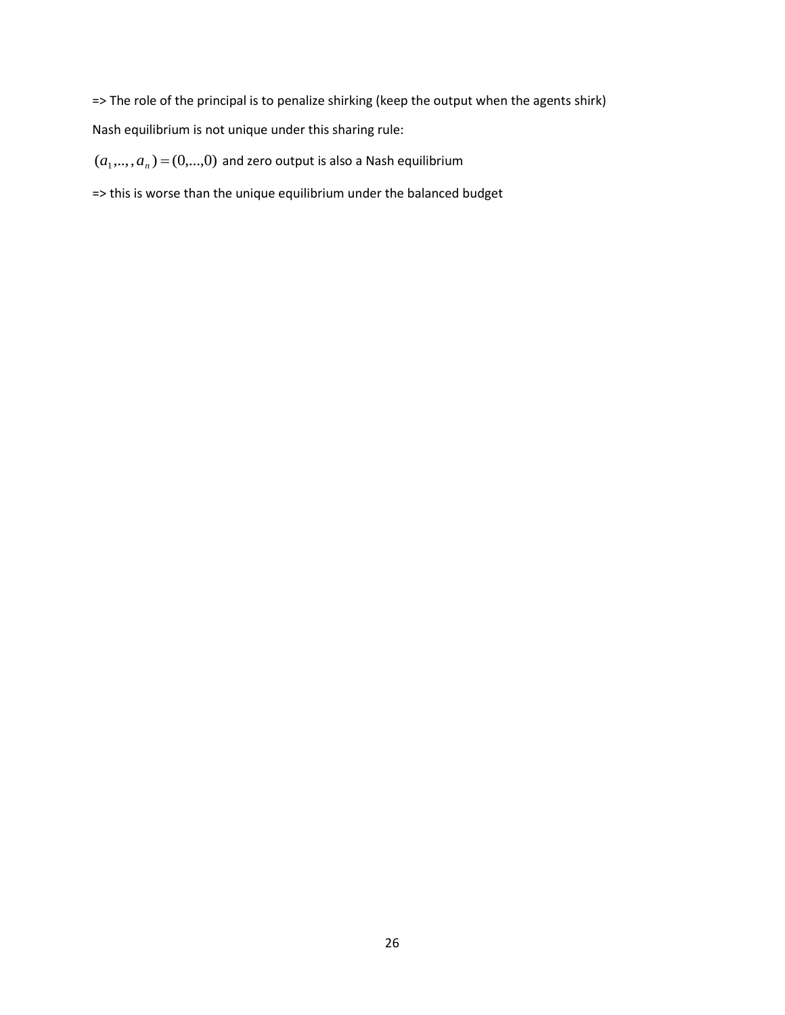=> The role of the principal is to penalize shirking (keep the output when the agents shirk) Nash equilibrium is not unique under this sharing rule:

 $(a_1,..., a_n)$  =  $(0,...,0)$  and zero output is also a Nash equilibrium

=> this is worse than the unique equilibrium under the balanced budget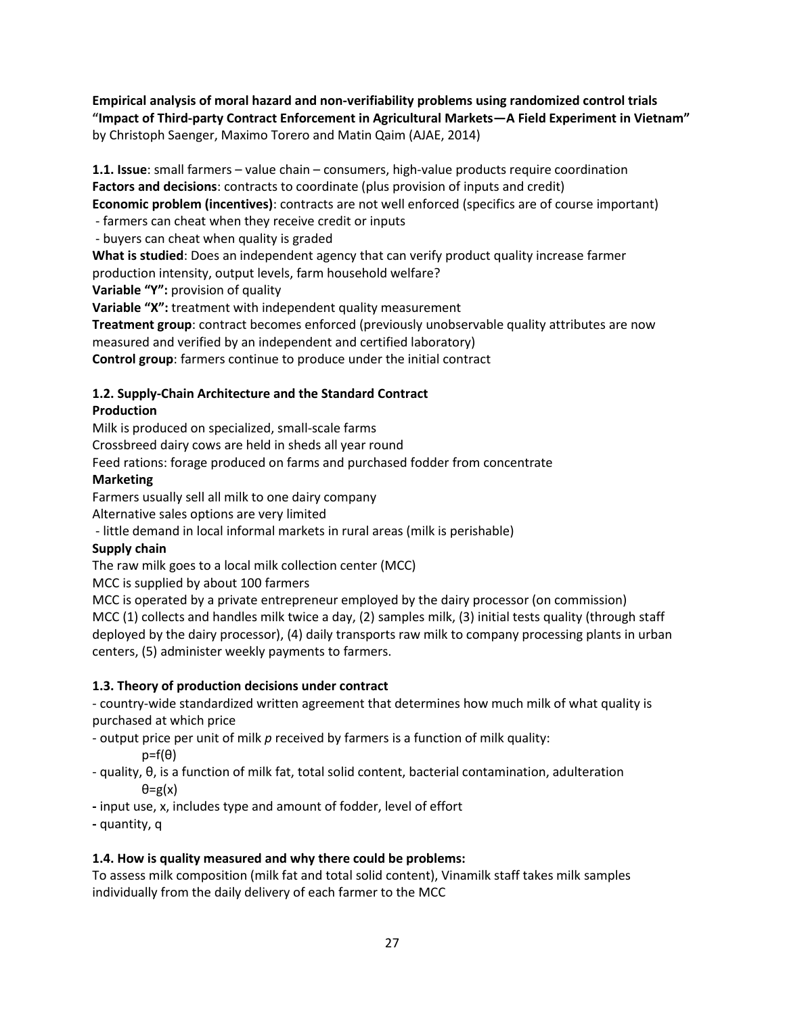**Empirical analysis of moral hazard and non-verifiability problems using randomized control trials "Impact of Third-party Contract Enforcement in Agricultural Markets—A Field Experiment in Vietnam"** by Christoph Saenger, Maximo Torero and Matin Qaim (AJAE, 2014)

**1.1. Issue**: small farmers – value chain – consumers, high-value products require coordination **Factors and decisions**: contracts to coordinate (plus provision of inputs and credit)

**Economic problem (incentives)**: contracts are not well enforced (specifics are of course important)

- farmers can cheat when they receive credit or inputs

- buyers can cheat when quality is graded

**What is studied**: Does an independent agency that can verify product quality increase farmer

production intensity, output levels, farm household welfare?

**Variable "Y":** provision of quality

**Variable "X":** treatment with independent quality measurement

**Treatment group**: contract becomes enforced (previously unobservable quality attributes are now measured and verified by an independent and certified laboratory)

**Control group**: farmers continue to produce under the initial contract

# **1.2. Supply-Chain Architecture and the Standard Contract**

# **Production**

Milk is produced on specialized, small-scale farms

Crossbreed dairy cows are held in sheds all year round

Feed rations: forage produced on farms and purchased fodder from concentrate

# **Marketing**

Farmers usually sell all milk to one dairy company

Alternative sales options are very limited

- little demand in local informal markets in rural areas (milk is perishable)

# **Supply chain**

The raw milk goes to a local milk collection center (MCC)

MCC is supplied by about 100 farmers

MCC is operated by a private entrepreneur employed by the dairy processor (on commission) MCC (1) collects and handles milk twice a day, (2) samples milk, (3) initial tests quality (through staff deployed by the dairy processor), (4) daily transports raw milk to company processing plants in urban centers, (5) administer weekly payments to farmers.

# **1.3. Theory of production decisions under contract**

- country-wide standardized written agreement that determines how much milk of what quality is purchased at which price

- output price per unit of milk *p* received by farmers is a function of milk quality:
	- $p=f(\theta)$
- quality, θ, is a function of milk fat, total solid content, bacterial contamination, adulteration θ=g(x)
- **-** input use, x, includes type and amount of fodder, level of effort
- **-** quantity, q

# **1.4. How is quality measured and why there could be problems:**

To assess milk composition (milk fat and total solid content), Vinamilk staff takes milk samples individually from the daily delivery of each farmer to the MCC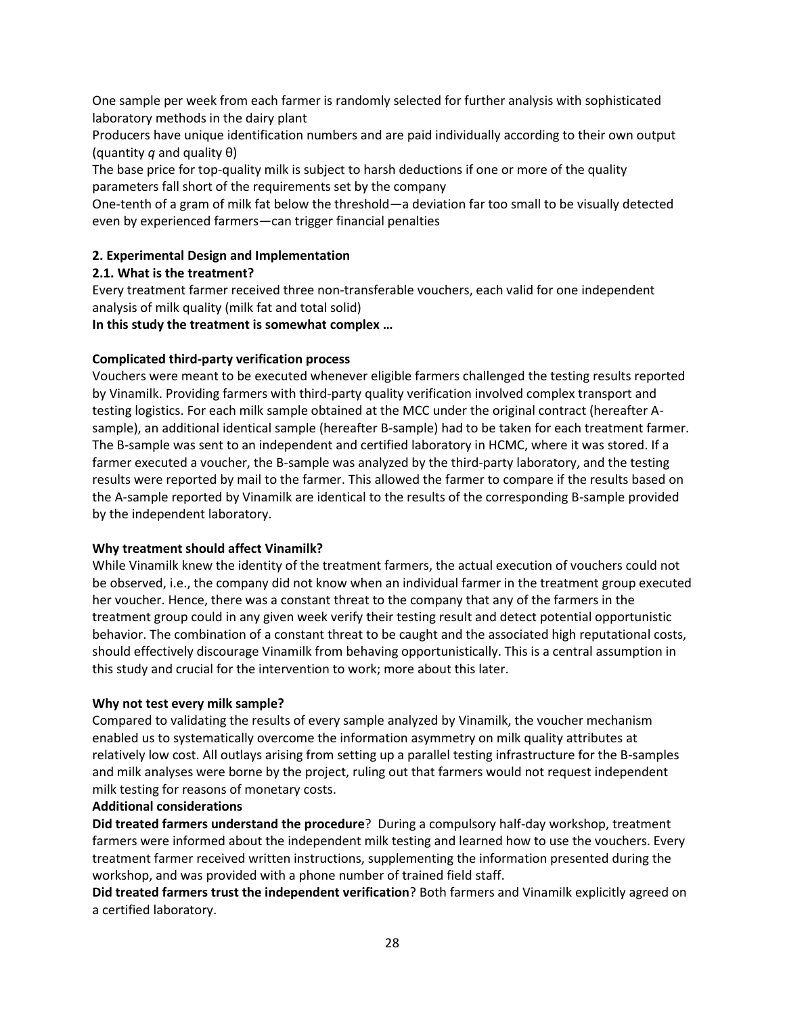One sample per week from each farmer is randomly selected for further analysis with sophisticated laboratory methods in the dairy plant

Producers have unique identification numbers and are paid individually according to their own output (quantity *q* and quality θ)

The base price for top-quality milk is subject to harsh deductions if one or more of the quality parameters fall short of the requirements set by the company

One-tenth of a gram of milk fat below the threshold—a deviation far too small to be visually detected even by experienced farmers—can trigger financial penalties

## **2. Experimental Design and Implementation**

## **2.1. What is the treatment?**

Every treatment farmer received three non-transferable vouchers, each valid for one independent analysis of milk quality (milk fat and total solid)

**In this study the treatment is somewhat complex …**

## **Complicated third-party verification process**

Vouchers were meant to be executed whenever eligible farmers challenged the testing results reported by Vinamilk. Providing farmers with third-party quality verification involved complex transport and testing logistics. For each milk sample obtained at the MCC under the original contract (hereafter Asample), an additional identical sample (hereafter B-sample) had to be taken for each treatment farmer. The B-sample was sent to an independent and certified laboratory in HCMC, where it was stored. If a farmer executed a voucher, the B-sample was analyzed by the third-party laboratory, and the testing results were reported by mail to the farmer. This allowed the farmer to compare if the results based on the A-sample reported by Vinamilk are identical to the results of the corresponding B-sample provided by the independent laboratory.

## **Why treatment should affect Vinamilk?**

While Vinamilk knew the identity of the treatment farmers, the actual execution of vouchers could not be observed, i.e., the company did not know when an individual farmer in the treatment group executed her voucher. Hence, there was a constant threat to the company that any of the farmers in the treatment group could in any given week verify their testing result and detect potential opportunistic behavior. The combination of a constant threat to be caught and the associated high reputational costs, should effectively discourage Vinamilk from behaving opportunistically. This is a central assumption in this study and crucial for the intervention to work; more about this later.

## **Why not test every milk sample?**

Compared to validating the results of every sample analyzed by Vinamilk, the voucher mechanism enabled us to systematically overcome the information asymmetry on milk quality attributes at relatively low cost. All outlays arising from setting up a parallel testing infrastructure for the B-samples and milk analyses were borne by the project, ruling out that farmers would not request independent milk testing for reasons of monetary costs.

## **Additional considerations**

**Did treated farmers understand the procedure**? During a compulsory half-day workshop, treatment farmers were informed about the independent milk testing and learned how to use the vouchers. Every treatment farmer received written instructions, supplementing the information presented during the workshop, and was provided with a phone number of trained field staff.

**Did treated farmers trust the independent verification**? Both farmers and Vinamilk explicitly agreed on a certified laboratory.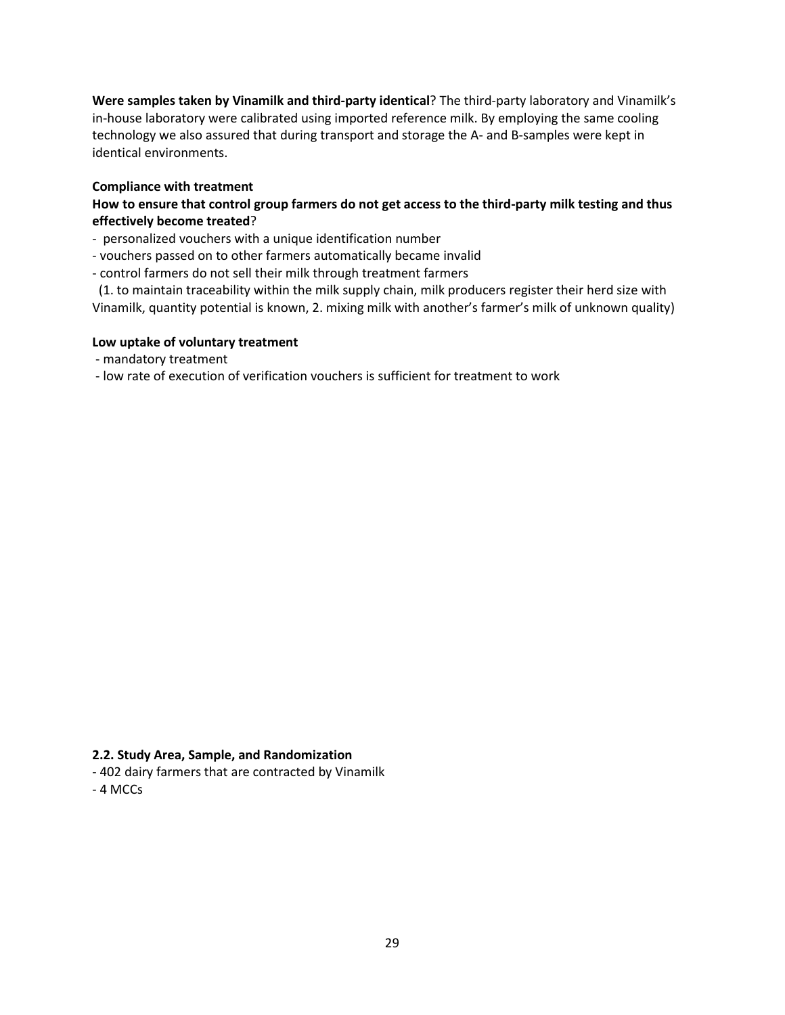**Were samples taken by Vinamilk and third-party identical**? The third-party laboratory and Vinamilk's in-house laboratory were calibrated using imported reference milk. By employing the same cooling technology we also assured that during transport and storage the A- and B-samples were kept in identical environments.

## **Compliance with treatment**

## **How to ensure that control group farmers do not get access to the third-party milk testing and thus effectively become treated**?

- personalized vouchers with a unique identification number
- vouchers passed on to other farmers automatically became invalid
- control farmers do not sell their milk through treatment farmers

 (1. to maintain traceability within the milk supply chain, milk producers register their herd size with Vinamilk, quantity potential is known, 2. mixing milk with another's farmer's milk of unknown quality)

### **Low uptake of voluntary treatment**

- mandatory treatment
- low rate of execution of verification vouchers is sufficient for treatment to work

### **2.2. Study Area, Sample, and Randomization**

- 402 dairy farmers that are contracted by Vinamilk
- 4 MCCs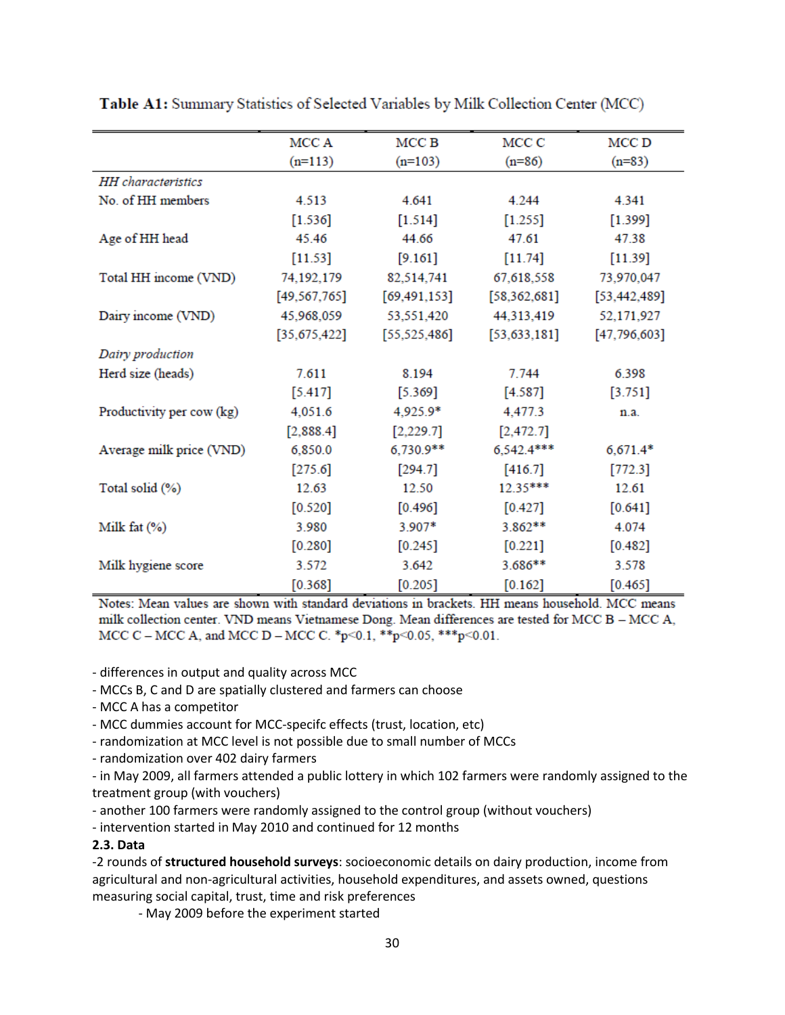|                           | MCC A          | MCC B          | MCC C          | MCC D          |
|---------------------------|----------------|----------------|----------------|----------------|
|                           | $(n=113)$      | $(n=103)$      | $(n=86)$       | $(n=83)$       |
| <b>HH</b> characteristics |                |                |                |                |
| No. of HH members         | 4.513          | 4.641          | 4.244          | 4.341          |
|                           | [1.536]        | $[1.514]$      | $[1.255]$      | [1.399]        |
| Age of HH head            | 45.46          | 44.66          | 47.61          | 47.38          |
|                           | $[11.53]$      | [9.161]        | $[11.74]$      | $[11.39]$      |
| Total HH income (VND)     | 74,192,179     | 82,514,741     | 67,618,558     | 73,970,047     |
|                           | [49, 567, 765] | [69, 491, 153] | [58, 362, 681] | [53, 442, 489] |
| Dairy income (VND)        | 45,968,059     | 53,551,420     | 44,313,419     | 52,171,927     |
|                           | [35, 675, 422] | [55, 525, 486] | [53, 633, 181] | [47,796,603]   |
| Dairy production          |                |                |                |                |
| Herd size (heads)         | 7.611          | 8.194          | 7.744          | 6.398          |
|                           | $[5.417]$      | [5.369]        | [4.587]        | $[3.751]$      |
| Productivity per cow (kg) | 4,051.6        | 4,925.9*       | 4,477.3        | n.a.           |
|                           | [2,888.4]      | [2,229.7]      | [2,472.7]      |                |
| Average milk price (VND)  | 6,850.0        | $6,730.9**$    | $6,542.4***$   | $6,671.4*$     |
|                           | [275.6]        | [294.7]        | [416.7]        | $[772.3]$      |
| Total solid (%)           | 12.63          | 12.50          | $12.35***$     | 12.61          |
|                           | $[0.520]$      | [0.496]        | [0.427]        | $[0.641]$      |
| Milk fat $(\%)$           | 3.980          | 3.907*         | $3.862**$      | 4.074          |
|                           | $[0.280]$      | $[0.245]$      | $[0.221]$      | $[0.482]$      |
| Milk hygiene score        | 3.572          | 3.642          | $3.686**$      | 3.578          |
|                           | [0.368]        | [0.205]        | $[0.162]$      | $[0.465]$      |

Table A1: Summary Statistics of Selected Variables by Milk Collection Center (MCC)

Notes: Mean values are shown with standard deviations in brackets. HH means household. MCC means milk collection center. VND means Vietnamese Dong. Mean differences are tested for MCC B - MCC A, MCC C – MCC A, and MCC D – MCC C. \* p<0.1, \*\* p<0.05, \*\*\* p<0.01.

- differences in output and quality across MCC

- MCCs B, C and D are spatially clustered and farmers can choose

- MCC A has a competitor
- MCC dummies account for MCC-specifc effects (trust, location, etc)
- randomization at MCC level is not possible due to small number of MCCs

- randomization over 402 dairy farmers

- in May 2009, all farmers attended a public lottery in which 102 farmers were randomly assigned to the treatment group (with vouchers)

- another 100 farmers were randomly assigned to the control group (without vouchers)

- intervention started in May 2010 and continued for 12 months

## **2.3. Data**

-2 rounds of **structured household surveys**: socioeconomic details on dairy production, income from agricultural and non-agricultural activities, household expenditures, and assets owned, questions measuring social capital, trust, time and risk preferences

- May 2009 before the experiment started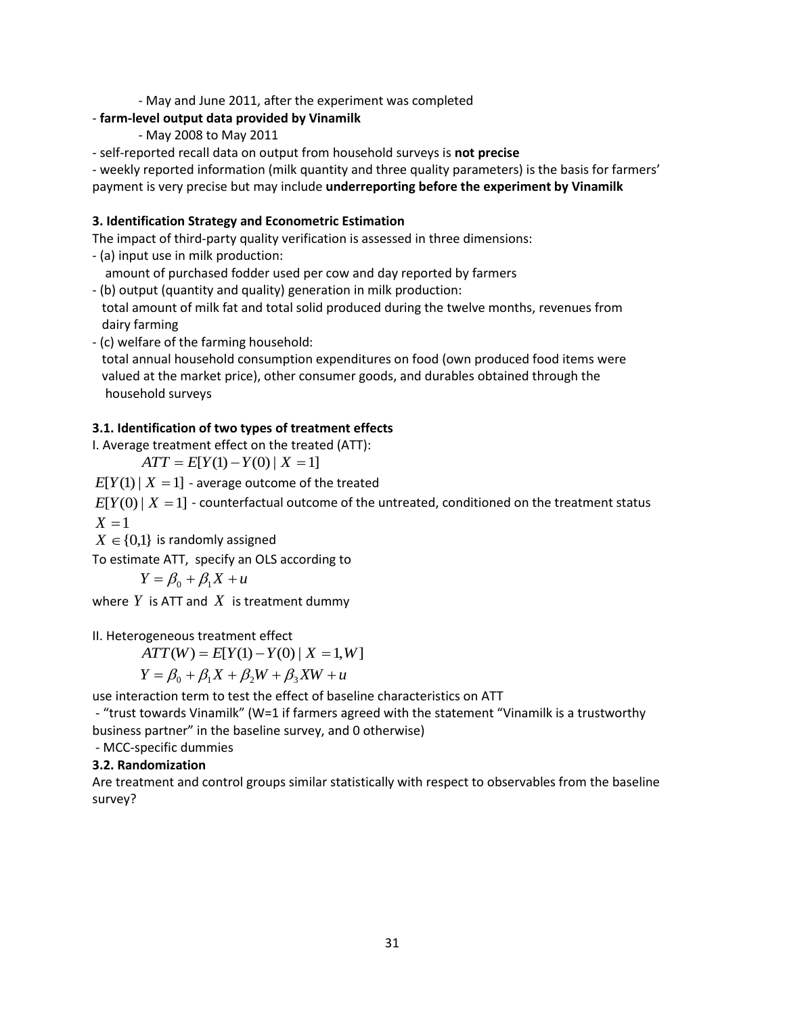- May and June 2011, after the experiment was completed

# - **farm-level output data provided by Vinamilk**

- May 2008 to May 2011
- self-reported recall data on output from household surveys is **not precise**

- weekly reported information (milk quantity and three quality parameters) is the basis for farmers' payment is very precise but may include **underreporting before the experiment by Vinamilk**

# **3. Identification Strategy and Econometric Estimation**

The impact of third-party quality verification is assessed in three dimensions:

- (a) input use in milk production:

amount of purchased fodder used per cow and day reported by farmers

- (b) output (quantity and quality) generation in milk production: total amount of milk fat and total solid produced during the twelve months, revenues from dairy farming
- (c) welfare of the farming household:

 total annual household consumption expenditures on food (own produced food items were valued at the market price), other consumer goods, and durables obtained through the household surveys

# **3.1. Identification of two types of treatment effects**

I. Average treatment effect on the treated (ATT):

 $ATT = E[Y(1) - Y(0) | X = 1]$ 

 $E[Y(1) | X = 1]$  - average outcome of the treated

 $E[Y(0) | X = 1]$  - counterfactual outcome of the untreated, conditioned on the treatment status  $X = 1$ 

 $X \in \{0,1\}$  is randomly assigned

To estimate ATT, specify an OLS according to

$$
Y = \beta_0 + \beta_1 X + u
$$

where  $Y$  is ATT and  $X$  is treatment dummy

II. Heterogeneous treatment effect

 $ATT(W) = E[Y(1) - Y(0) | X = 1, W]$ 

$$
Y = \beta_0 + \beta_1 X + \beta_2 W + \beta_3 X W + u
$$

use interaction term to test the effect of baseline characteristics on ATT

- "trust towards Vinamilk" (W=1 if farmers agreed with the statement "Vinamilk is a trustworthy business partner" in the baseline survey, and 0 otherwise)

- MCC-specific dummies

# **3.2. Randomization**

Are treatment and control groups similar statistically with respect to observables from the baseline survey?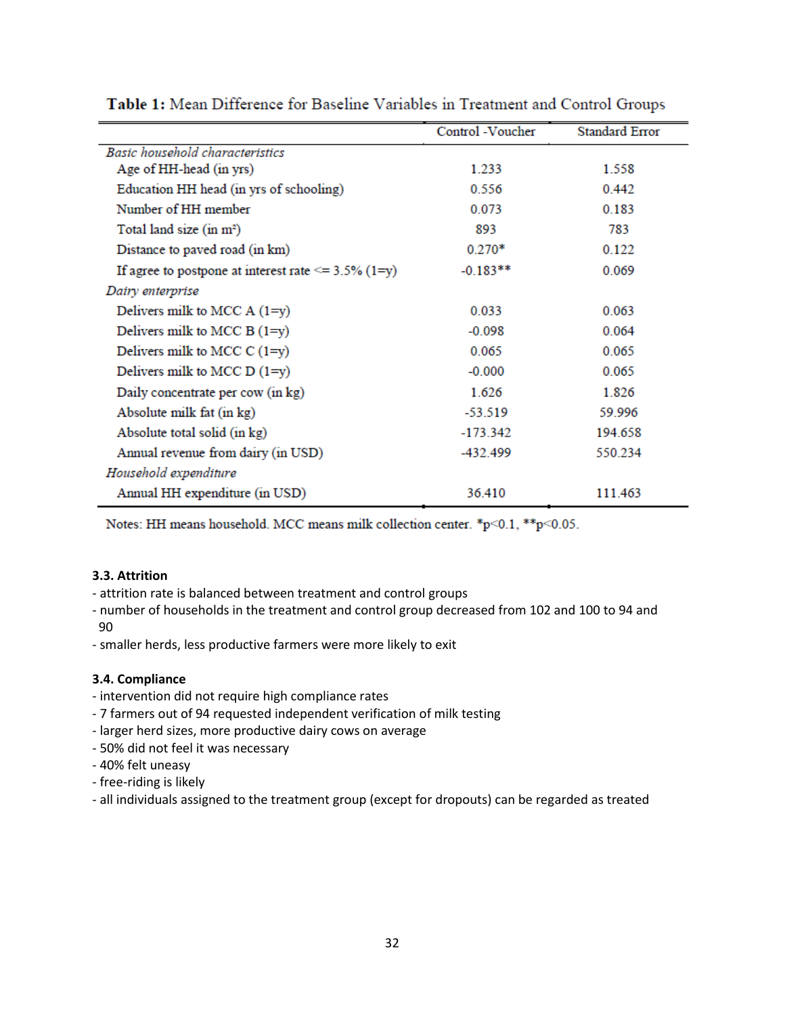|                                                           | Control -Voucher | <b>Standard Error</b> |
|-----------------------------------------------------------|------------------|-----------------------|
| Basic household characteristics                           |                  |                       |
| Age of HH-head (in yrs)                                   | 1.233            | 1.558                 |
| Education HH head (in yrs of schooling)                   | 0.556            | 0.442                 |
| Number of HH member                                       | 0.073            | 0.183                 |
| Total land size (in m <sup>2</sup> )                      | 893              | 783                   |
| Distance to paved road (in km)                            | $0.270*$         | 0.122                 |
| If agree to postpone at interest rate $\leq$ = 3.5% (1=y) | $-0.183**$       | 0.069                 |
| Dairy enterprise                                          |                  |                       |
| Delivers milk to MCC $A(1=y)$                             | 0.033            | 0.063                 |
| Delivers milk to MCC B $(1=y)$                            | $-0.098$         | 0.064                 |
| Delivers milk to MCC $C(1=y)$                             | 0.065            | 0.065                 |
| Delivers milk to MCC $D(1=y)$                             | $-0.000$         | 0.065                 |
| Daily concentrate per cow (in kg)                         | 1.626            | 1.826                 |
| Absolute milk fat (in kg)                                 | $-53.519$        | 59.996                |
| Absolute total solid (in kg)                              | $-173.342$       | 194.658               |
| Annual revenue from dairy (in USD)                        | -432.499         | 550.234               |
| Household expenditure                                     |                  |                       |
| Annual HH expenditure (in USD)                            | 36.410           | 111.463               |

Table 1: Mean Difference for Baseline Variables in Treatment and Control Groups

Notes: HH means household. MCC means milk collection center. \*p<0.1, \*\*p<0.05.

## **3.3. Attrition**

- attrition rate is balanced between treatment and control groups
- number of households in the treatment and control group decreased from 102 and 100 to 94 and 90
- smaller herds, less productive farmers were more likely to exit

## **3.4. Compliance**

- intervention did not require high compliance rates
- 7 farmers out of 94 requested independent verification of milk testing
- larger herd sizes, more productive dairy cows on average
- 50% did not feel it was necessary
- 40% felt uneasy
- free-riding is likely
- all individuals assigned to the treatment group (except for dropouts) can be regarded as treated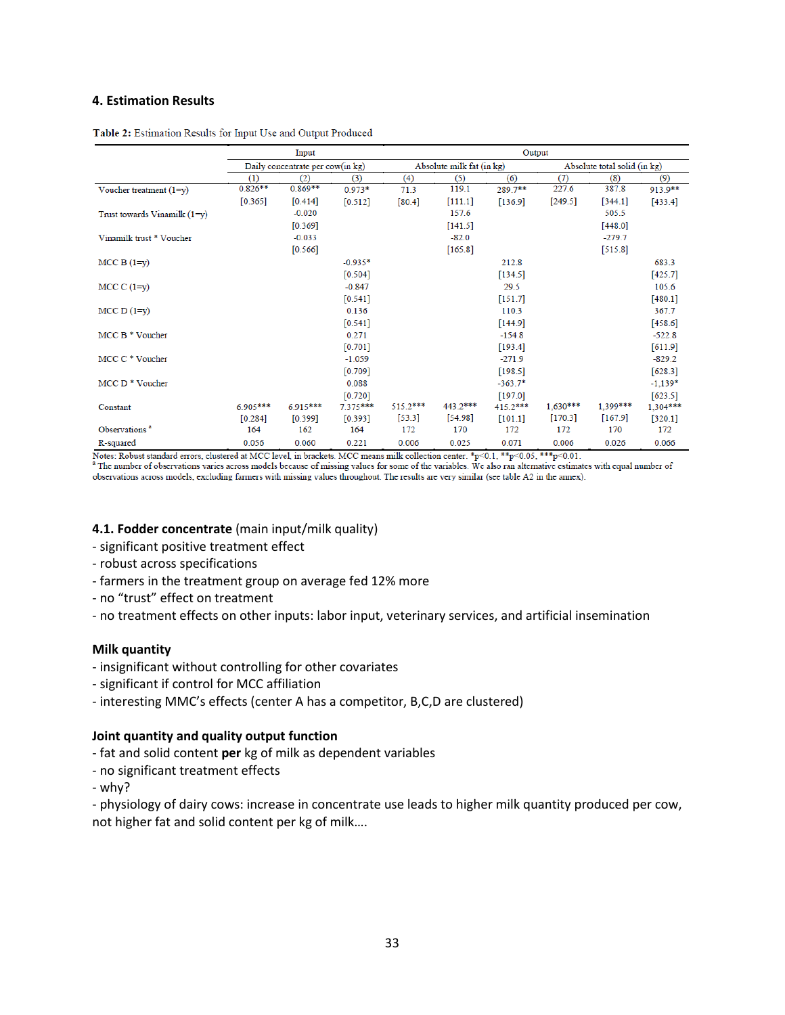### **4. Estimation Results**

|                                | Input                            |            |                           | Output     |           |                              |            |           |            |
|--------------------------------|----------------------------------|------------|---------------------------|------------|-----------|------------------------------|------------|-----------|------------|
|                                | Daily concentrate per cow(in kg) |            | Absolute milk fat (in kg) |            |           | Absolute total solid (in kg) |            |           |            |
|                                | (1)                              | (2)        | (3)                       | (4)        | (5)       | (6)                          | (7)        | (8)       | (9)        |
| Voucher treatment $(1=y)$      | $0.826**$                        | $0.869**$  | $0.973*$                  | 71.3       | 119.1     | 289.7**                      | 227.6      | 387.8     | 913.9**    |
|                                | [0.365]                          | [0.414]    | $[0.512]$                 | [80.4]     | [111.1]   | [136.9]                      | [249.5]    | [344.1]   | [433.4]    |
| Trust towards Vinamilk $(1=y)$ |                                  | $-0.020$   |                           |            | 157.6     |                              |            | 505.5     |            |
|                                |                                  | [0.369]    |                           |            | [141.5]   |                              |            | [448.0]   |            |
| Vinamilk trust * Voucher       |                                  | $-0.033$   |                           |            | $-82.0$   |                              |            | $-279.7$  |            |
|                                |                                  | [0.566]    |                           |            | $[165.8]$ |                              |            | [515.8]   |            |
| $MCC B (1=y)$                  |                                  |            | $-0.935*$                 |            |           | 212.8                        |            |           | 683.3      |
|                                |                                  |            | $[0.504]$                 |            |           | [134.5]                      |            |           | $[425.7]$  |
| MCC $C(1=y)$                   |                                  |            | $-0.847$                  |            |           | 29.5                         |            |           | 105.6      |
|                                |                                  |            | $[0.541]$                 |            |           | [151.7]                      |            |           | $[480.1]$  |
| $MCC D (1=y)$                  |                                  |            | 0.136                     |            |           | 110.3                        |            |           | 367.7      |
|                                |                                  |            | [0.541]                   |            |           | [144.9]                      |            |           | [458.6]    |
| MCC $B * V$ oucher             |                                  |            | 0.271                     |            |           | $-154.8$                     |            |           | $-522.8$   |
|                                |                                  |            | [0.701]                   |            |           | [193.4]                      |            |           | $[611.9]$  |
| MCC C * Voucher                |                                  |            | $-1.059$                  |            |           | $-271.9$                     |            |           | $-829.2$   |
|                                |                                  |            | [0.709]                   |            |           | [198.5]                      |            |           | $[628.3]$  |
| MCC $D^*$ Voucher              |                                  |            | 0.088                     |            |           | $-363.7*$                    |            |           | $-1,139*$  |
|                                |                                  |            | [0.720]                   |            |           | [197.0]                      |            |           | [623.5]    |
| Constant                       | $6.905***$                       | $6.915***$ | $7.375***$                | $515.2***$ | 443.2***  | $415.2***$                   | $1.630***$ | 1.399***  | $1,304***$ |
|                                | [0.284]                          | [0.399]    | [0.393]                   | $[53.3]$   | [54.98]   | [101.1]                      | [170.3]    | $[167.9]$ | [320.1]    |
| Observations <sup>a</sup>      | 164                              | 162        | 164                       | 172        | 170       | 172                          | 172        | 170       | 172        |
| R-squared                      | 0.056                            | 0.060      | 0.221                     | 0.006      | 0.025     | 0.071                        | 0.006      | 0.026     | 0.066      |

Table 2: Estimation Results for Input Use and Output Produced

Notes: Robust standard errors, clustered at MCC level, in brackets. MCC means milk collection center. \*p<0.1, \*\*p<0.05, \*\*\*p<0.01.<br>
<sup>a</sup> The number of observations varies across models because of missing values for some of

observations across models, excluding farmers with missing values throughout. The results are very similar (see table A2 in the annex).

### **4.1. Fodder concentrate** (main input/milk quality)

- significant positive treatment effect
- robust across specifications
- farmers in the treatment group on average fed 12% more
- no "trust" effect on treatment
- no treatment effects on other inputs: labor input, veterinary services, and artificial insemination

#### **Milk quantity**

- insignificant without controlling for other covariates
- significant if control for MCC affiliation
- interesting MMC's effects (center A has a competitor, B,C,D are clustered)

#### **Joint quantity and quality output function**

- fat and solid content **per** kg of milk as dependent variables
- no significant treatment effects
- why?

- physiology of dairy cows: increase in concentrate use leads to higher milk quantity produced per cow, not higher fat and solid content per kg of milk….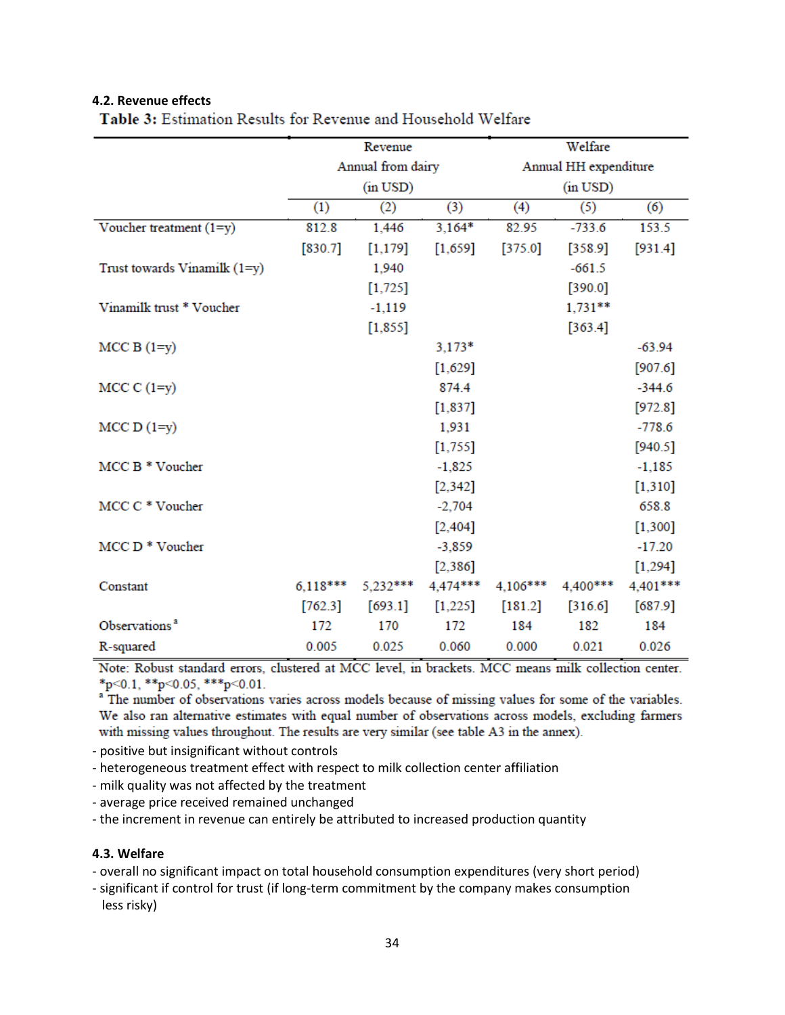## **4.2. Revenue effects**

|                                | Revenue           |               |           | Welfare               |               |           |  |  |
|--------------------------------|-------------------|---------------|-----------|-----------------------|---------------|-----------|--|--|
|                                | Annual from dairy |               |           | Annual HH expenditure |               |           |  |  |
|                                |                   | $(in$ USD $)$ |           |                       | $(in$ USD $)$ |           |  |  |
|                                | (1)               | (2)           | (3)       | (4)                   | (5)           | (6)       |  |  |
| Voucher treatment (1=y)        | 812.8             | 1,446         | $3,164*$  | 82.95                 | $-733.6$      | 153.5     |  |  |
|                                | [830.7]           | [1, 179]      | [1,659]   | [375.0]               | [358.9]       | [931.4]   |  |  |
| Trust towards Vinamilk $(1=y)$ |                   | 1,940         |           |                       | $-661.5$      |           |  |  |
|                                |                   | $[1,725]$     |           |                       | [390.0]       |           |  |  |
| Vinamilk trust * Voucher       |                   | $-1,119$      |           |                       | $1,731**$     |           |  |  |
|                                |                   | [1,855]       |           |                       | [363.4]       |           |  |  |
| $MCC B (1=y)$                  |                   |               | $3,173*$  |                       |               | $-63.94$  |  |  |
|                                |                   |               | $[1,629]$ |                       |               | [907.6]   |  |  |
| $MCC C (1=y)$                  |                   |               | 874.4     |                       |               | $-344.6$  |  |  |
|                                |                   |               | [1, 837]  |                       |               | [972.8]   |  |  |
| $MCC D (1=y)$                  |                   |               | 1,931     |                       |               | $-778.6$  |  |  |
|                                |                   |               | $[1,755]$ |                       |               | [940.5]   |  |  |
| MCC B * Voucher                |                   |               | $-1,825$  |                       |               | $-1,185$  |  |  |
|                                |                   |               | $[2,342]$ |                       |               | $[1,310]$ |  |  |
| MCC C * Voucher                |                   |               | $-2,704$  |                       |               | 658.8     |  |  |
|                                |                   |               | [2, 404]  |                       |               | $[1,300]$ |  |  |
| MCC D <sup>*</sup> Voucher     |                   |               | $-3,859$  |                       |               | $-17.20$  |  |  |
|                                |                   |               | [2, 386]  |                       |               | $[1,294]$ |  |  |
| Constant                       | $6,118***$        | 5,232***      | 4,474***  | 4,106***              | 4,400***      | 4,401***  |  |  |
|                                | [762.3]           | [693.1]       | [1,225]   | [181.2]               | [316.6]       | $[687.9]$ |  |  |
| Observations <sup>a</sup>      | 172               | 170           | 172       | 184                   | 182           | 184       |  |  |
| R-squared                      | 0.005             | 0.025         | 0.060     | 0.000                 | 0.021         | 0.026     |  |  |

Table 3: Estimation Results for Revenue and Household Welfare

Note: Robust standard errors, clustered at MCC level, in brackets. MCC means milk collection center. \*p<0.1, \*\*p<0.05, \*\*\*p<0.01.

<sup>a</sup> The number of observations varies across models because of missing values for some of the variables. We also ran alternative estimates with equal number of observations across models, excluding farmers with missing values throughout. The results are very similar (see table A3 in the annex).

- positive but insignificant without controls

- heterogeneous treatment effect with respect to milk collection center affiliation

- milk quality was not affected by the treatment

- average price received remained unchanged

- the increment in revenue can entirely be attributed to increased production quantity

# **4.3. Welfare**

- overall no significant impact on total household consumption expenditures (very short period)

- significant if control for trust (if long-term commitment by the company makes consumption less risky)